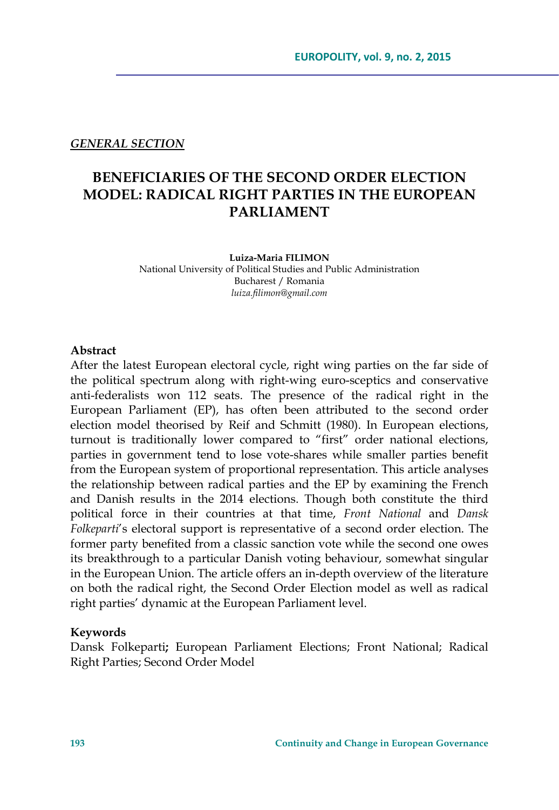#### *GENERAL SECTION*

# **BENEFICIARIES OF THE SECOND ORDER ELECTION MODEL: RADICAL RIGHT PARTIES IN THE EUROPEAN PARLIAMENT**

**Luiza-Maria FILIMON** 

National University of Political Studies and Public Administration Bucharest / Romania *luiza.filimon@gmail.com*

#### **Abstract**

After the latest European electoral cycle, right wing parties on the far side of the political spectrum along with right-wing euro-sceptics and conservative anti-federalists won 112 seats. The presence of the radical right in the European Parliament (EP), has often been attributed to the second order election model theorised by Reif and Schmitt (1980). In European elections, turnout is traditionally lower compared to "first" order national elections, parties in government tend to lose vote-shares while smaller parties benefit from the European system of proportional representation. This article analyses the relationship between radical parties and the EP by examining the French and Danish results in the 2014 elections. Though both constitute the third political force in their countries at that time, *Front National* and *Dansk Folkeparti*'s electoral support is representative of a second order election. The former party benefited from a classic sanction vote while the second one owes its breakthrough to a particular Danish voting behaviour, somewhat singular in the European Union. The article offers an in-depth overview of the literature on both the radical right, the Second Order Election model as well as radical right parties' dynamic at the European Parliament level.

#### **Keywords**

Dansk Folkeparti**;** European Parliament Elections; Front National; Radical Right Parties; Second Order Model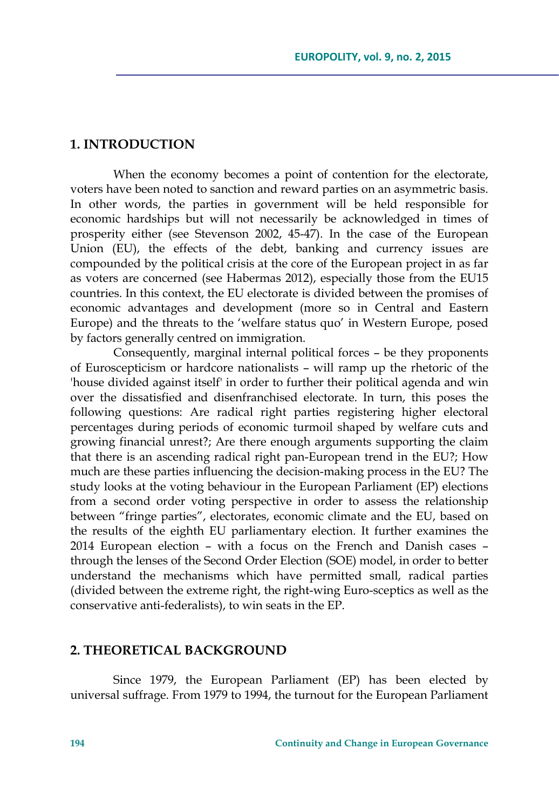### **1. INTRODUCTION**

When the economy becomes a point of contention for the electorate, voters have been noted to sanction and reward parties on an asymmetric basis. In other words, the parties in government will be held responsible for economic hardships but will not necessarily be acknowledged in times of prosperity either (see Stevenson 2002, 45-47). In the case of the European Union (EU), the effects of the debt, banking and currency issues are compounded by the political crisis at the core of the European project in as far as voters are concerned (see Habermas 2012), especially those from the EU15 countries. In this context, the EU electorate is divided between the promises of economic advantages and development (more so in Central and Eastern Europe) and the threats to the 'welfare status quo' in Western Europe, posed by factors generally centred on immigration.

Consequently, marginal internal political forces – be they proponents of Euroscepticism or hardcore nationalists – will ramp up the rhetoric of the 'house divided against itself' in order to further their political agenda and win over the dissatisfied and disenfranchised electorate. In turn, this poses the following questions: Are radical right parties registering higher electoral percentages during periods of economic turmoil shaped by welfare cuts and growing financial unrest?; Are there enough arguments supporting the claim that there is an ascending radical right pan-European trend in the EU?; How much are these parties influencing the decision-making process in the EU? The study looks at the voting behaviour in the European Parliament (EP) elections from a second order voting perspective in order to assess the relationship between "fringe parties", electorates, economic climate and the EU, based on the results of the eighth EU parliamentary election. It further examines the 2014 European election – with a focus on the French and Danish cases – through the lenses of the Second Order Election (SOE) model, in order to better understand the mechanisms which have permitted small, radical parties (divided between the extreme right, the right-wing Euro-sceptics as well as the conservative anti-federalists), to win seats in the EP.

### **2. THEORETICAL BACKGROUND**

Since 1979, the European Parliament (EP) has been elected by universal suffrage. From 1979 to 1994, the turnout for the European Parliament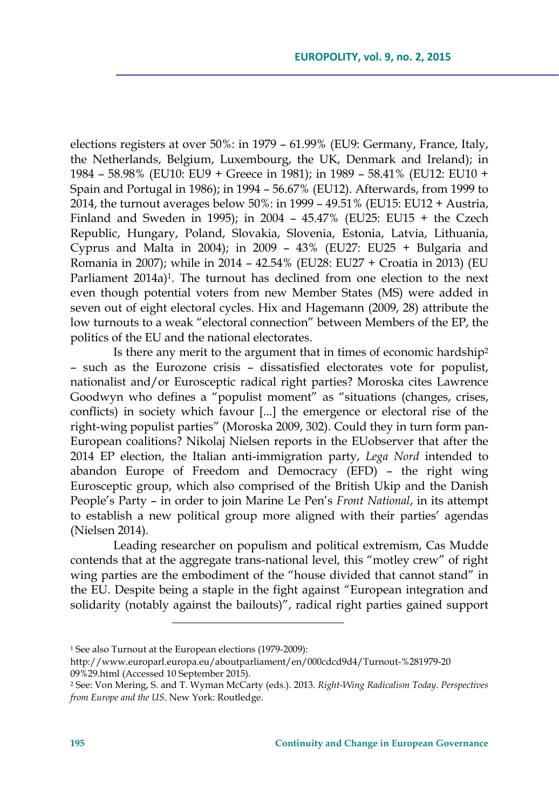elections registers at over 50%: in 1979 – 61.99% (EU9: Germany, France, Italy, the Netherlands, Belgium, Luxembourg, the UK, Denmark and Ireland); in 1984 – 58.98% (EU10: EU9 + Greece in 1981); in 1989 – 58.41% (EU12: EU10 + Spain and Portugal in 1986); in 1994 – 56.67% (EU12). Afterwards, from 1999 to 2014, the turnout averages below 50%: in 1999 – 49.51% (EU15: EU12 + Austria, Finland and Sweden in 1995); in 2004 – 45.47% (EU25: EU15 + the Czech Republic, Hungary, Poland, Slovakia, Slovenia, Estonia, Latvia, Lithuania, Cyprus and Malta in 2004); in 2009 – 43% (EU27: EU25 + Bulgaria and Romania in 2007); while in 2014 – 42.54% (EU28: EU27 + Croatia in 2013) (EU Parliament 2014a)<sup>1</sup>. The turnout has declined from one election to the next even though potential voters from new Member States (MS) were added in seven out of eight electoral cycles. Hix and Hagemann (2009, 28) attribute the low turnouts to a weak "electoral connection" between Members of the EP, the politics of the EU and the national electorates.

Is there any merit to the argument that in times of economic hardship2 – such as the Eurozone crisis – dissatisfied electorates vote for populist, nationalist and/or Eurosceptic radical right parties? Moroska cites Lawrence Goodwyn who defines a "populist moment" as "situations (changes, crises, conflicts) in society which favour [...] the emergence or electoral rise of the right-wing populist parties" (Moroska 2009, 302). Could they in turn form pan-European coalitions? Nikolaj Nielsen reports in the EUobserver that after the 2014 EP election, the Italian anti-immigration party, *Lega Nord* intended to abandon Europe of Freedom and Democracy (EFD) – the right wing Eurosceptic group, which also comprised of the British Ukip and the Danish People's Party – in order to join Marine Le Pen's *Front National*, in its attempt to establish a new political group more aligned with their parties' agendas (Nielsen 2014).

Leading researcher on populism and political extremism, Cas Mudde contends that at the aggregate trans-national level, this "motley crew" of right wing parties are the embodiment of the "house divided that cannot stand" in the EU. Despite being a staple in the fight against "European integration and solidarity (notably against the bailouts)", radical right parties gained support

<sup>1</sup> See also Turnout at the European elections (1979-2009):

http://www.europarl.europa.eu/aboutparliament/en/000cdcd9d4/Turnout-%281979-20 09%29.html (Accessed 10 September 2015).

<sup>2</sup> See: Von Mering, S. and T. Wyman McCarty (eds.). 2013. *Right-Wing Radicalism Today. Perspectives from Europe and the US*. New York: Routledge.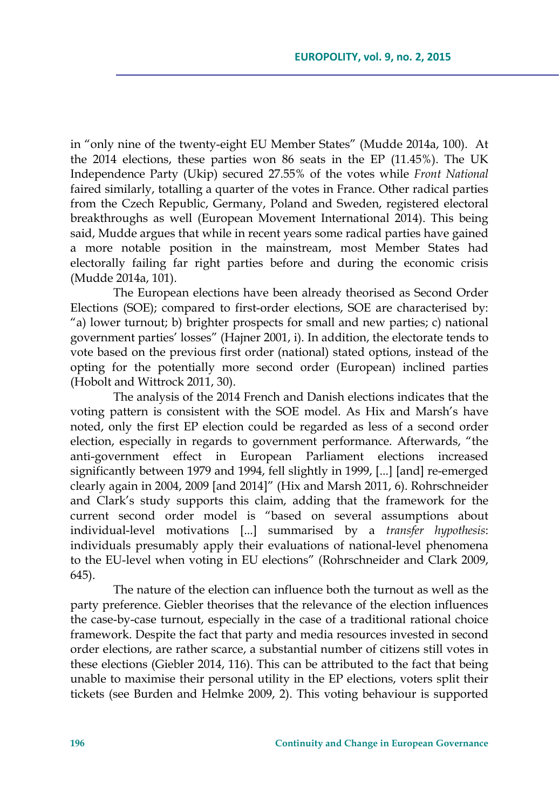in "only nine of the twenty-eight EU Member States" (Mudde 2014a, 100). At the 2014 elections, these parties won 86 seats in the EP (11.45%). The UK Independence Party (Ukip) secured 27.55% of the votes while *Front National* faired similarly, totalling a quarter of the votes in France. Other radical parties from the Czech Republic, Germany, Poland and Sweden, registered electoral breakthroughs as well (European Movement International 2014). This being said, Mudde argues that while in recent years some radical parties have gained a more notable position in the mainstream, most Member States had electorally failing far right parties before and during the economic crisis (Mudde 2014a, 101).

The European elections have been already theorised as Second Order Elections (SOE); compared to first-order elections, SOE are characterised by: "a) lower turnout; b) brighter prospects for small and new parties; c) national government parties' losses" (Hajner 2001, i). In addition, the electorate tends to vote based on the previous first order (national) stated options, instead of the opting for the potentially more second order (European) inclined parties (Hobolt and Wittrock 2011, 30).

The analysis of the 2014 French and Danish elections indicates that the voting pattern is consistent with the SOE model. As Hix and Marsh's have noted, only the first EP election could be regarded as less of a second order election, especially in regards to government performance. Afterwards, "the anti-government effect in European Parliament elections increased significantly between 1979 and 1994, fell slightly in 1999, [...] [and] re-emerged clearly again in 2004, 2009 [and 2014]" (Hix and Marsh 2011, 6). Rohrschneider and Clark's study supports this claim, adding that the framework for the current second order model is "based on several assumptions about individual-level motivations [...] summarised by a *transfer hypothesis*: individuals presumably apply their evaluations of national-level phenomena to the EU-level when voting in EU elections" (Rohrschneider and Clark 2009, 645).

The nature of the election can influence both the turnout as well as the party preference. Giebler theorises that the relevance of the election influences the case-by-case turnout, especially in the case of a traditional rational choice framework. Despite the fact that party and media resources invested in second order elections, are rather scarce, a substantial number of citizens still votes in these elections (Giebler 2014, 116). This can be attributed to the fact that being unable to maximise their personal utility in the EP elections, voters split their tickets (see Burden and Helmke 2009, 2). This voting behaviour is supported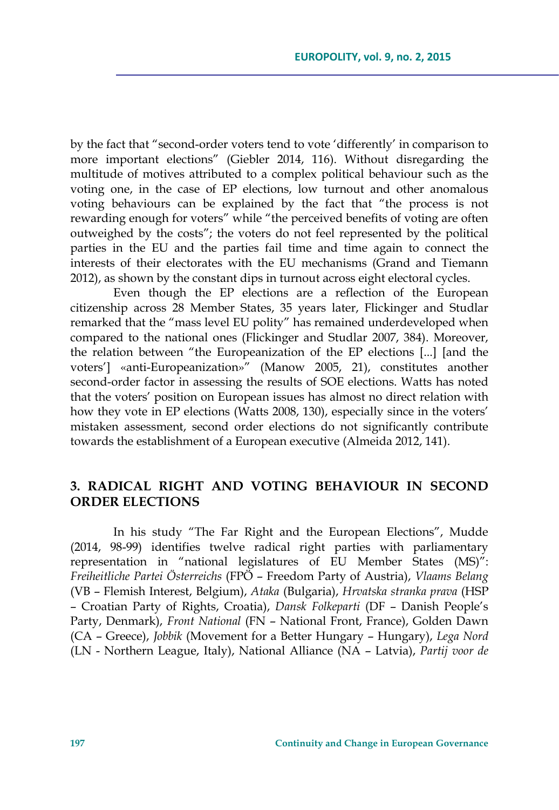by the fact that "second-order voters tend to vote 'differently' in comparison to more important elections" (Giebler 2014, 116). Without disregarding the multitude of motives attributed to a complex political behaviour such as the voting one, in the case of EP elections, low turnout and other anomalous voting behaviours can be explained by the fact that "the process is not rewarding enough for voters" while "the perceived benefits of voting are often outweighed by the costs"; the voters do not feel represented by the political parties in the EU and the parties fail time and time again to connect the interests of their electorates with the EU mechanisms (Grand and Tiemann 2012), as shown by the constant dips in turnout across eight electoral cycles.

Even though the EP elections are a reflection of the European citizenship across 28 Member States, 35 years later, Flickinger and Studlar remarked that the "mass level EU polity" has remained underdeveloped when compared to the national ones (Flickinger and Studlar 2007, 384). Moreover, the relation between "the Europeanization of the EP elections [...] [and the voters'] «anti-Europeanization»" (Manow 2005, 21), constitutes another second-order factor in assessing the results of SOE elections. Watts has noted that the voters' position on European issues has almost no direct relation with how they vote in EP elections (Watts 2008, 130), especially since in the voters' mistaken assessment, second order elections do not significantly contribute towards the establishment of a European executive (Almeida 2012, 141).

### **3. RADICAL RIGHT AND VOTING BEHAVIOUR IN SECOND ORDER ELECTIONS**

In his study "The Far Right and the European Elections", Mudde (2014, 98-99) identifies twelve radical right parties with parliamentary representation in "national legislatures of EU Member States (MS)": *Freiheitliche Partei Österreichs* (FPÖ – Freedom Party of Austria), *Vlaams Belang* (VB – Flemish Interest, Belgium), *Ataka* (Bulgaria), *Hrvatska stranka prava* (HSP – Croatian Party of Rights, Croatia), *Dansk Folkeparti* (DF – Danish People's Party, Denmark), *Front National* (FN – National Front, France), Golden Dawn (CA – Greece), *Jobbik* (Movement for a Better Hungary – Hungary), *Lega Nord* (LN - Northern League, Italy), National Alliance (NA – Latvia), *Partij voor de*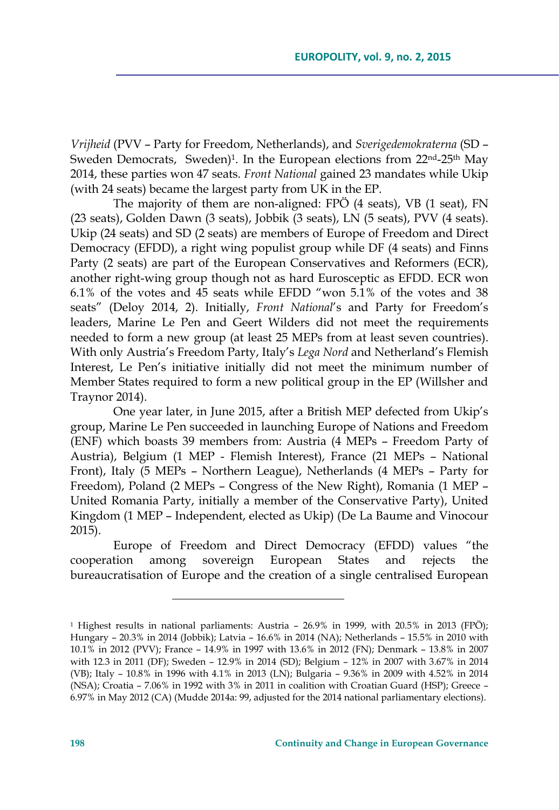*Vrijheid* (PVV – Party for Freedom, Netherlands), and *Sverigedemokraterna* (SD – Sweden Democrats, Sweden)<sup>1</sup>. In the European elections from 22<sup>nd</sup>-25<sup>th</sup> May 2014, these parties won 47 seats. *Front National* gained 23 mandates while Ukip (with 24 seats) became the largest party from UK in the EP.

The majority of them are non-aligned: FPÖ (4 seats), VB (1 seat), FN (23 seats), Golden Dawn (3 seats), Jobbik (3 seats), LN (5 seats), PVV (4 seats). Ukip (24 seats) and SD (2 seats) are members of Europe of Freedom and Direct Democracy (EFDD), a right wing populist group while DF (4 seats) and Finns Party (2 seats) are part of the European Conservatives and Reformers (ECR), another right-wing group though not as hard Eurosceptic as EFDD. ECR won 6.1% of the votes and 45 seats while EFDD "won 5.1% of the votes and 38 seats" (Deloy 2014, 2). Initially, *Front National*'s and Party for Freedom's leaders, Marine Le Pen and Geert Wilders did not meet the requirements needed to form a new group (at least 25 MEPs from at least seven countries). With only Austria's Freedom Party, Italy's *Lega Nord* and Netherland's Flemish Interest, Le Pen's initiative initially did not meet the minimum number of Member States required to form a new political group in the EP (Willsher and Traynor 2014).

One year later, in June 2015, after a British MEP defected from Ukip's group, Marine Le Pen succeeded in launching Europe of Nations and Freedom (ENF) which boasts 39 members from: Austria (4 MEPs – Freedom Party of Austria), Belgium (1 MEP - Flemish Interest), France (21 MEPs – National Front), Italy (5 MEPs – Northern League), Netherlands (4 MEPs – Party for Freedom), Poland (2 MEPs – Congress of the New Right), Romania (1 MEP – United Romania Party, initially a member of the Conservative Party), United Kingdom (1 MEP – Independent, elected as Ukip) (De La Baume and Vinocour 2015).

Europe of Freedom and Direct Democracy (EFDD) values "the cooperation among sovereign European States and rejects the bureaucratisation of Europe and the creation of a single centralised European

<sup>1</sup> Highest results in national parliaments: Austria – 26.9% in 1999, with 20.5% in 2013 (FPÖ); Hungary – 20.3% in 2014 (Jobbik); Latvia – 16.6% in 2014 (NA); Netherlands – 15.5% in 2010 with 10.1% in 2012 (PVV); France – 14.9% in 1997 with 13.6% in 2012 (FN); Denmark – 13.8% in 2007 with 12.3 in 2011 (DF); Sweden – 12.9% in 2014 (SD); Belgium – 12% in 2007 with 3.67% in 2014 (VB); Italy – 10.8% in 1996 with 4.1% in 2013 (LN); Bulgaria – 9.36% in 2009 with 4.52% in 2014 (NSA); Croatia – 7.06% in 1992 with 3% in 2011 in coalition with Croatian Guard (HSP); Greece – 6.97% in May 2012 (CA) (Mudde 2014a: 99, adjusted for the 2014 national parliamentary elections).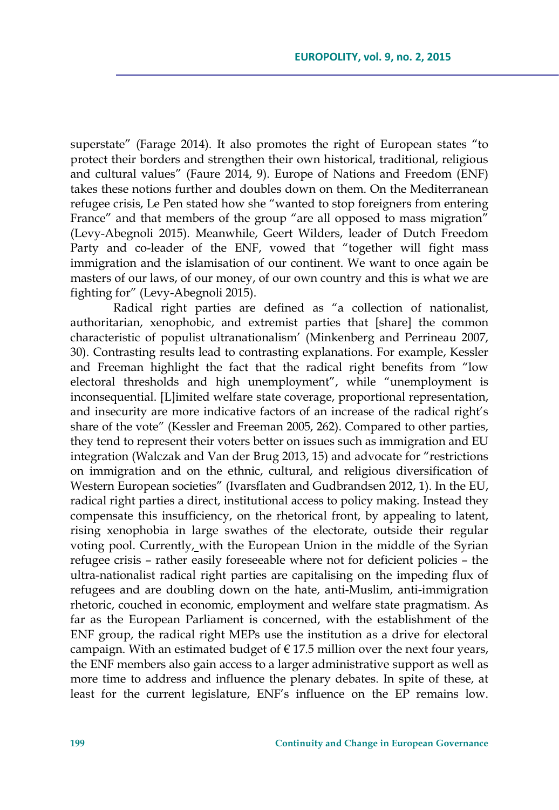superstate" (Farage 2014). It also promotes the right of European states "to protect their borders and strengthen their own historical, traditional, religious and cultural values" (Faure 2014, 9). Europe of Nations and Freedom (ENF) takes these notions further and doubles down on them. On the Mediterranean refugee crisis, Le Pen stated how she "wanted to stop foreigners from entering France" and that members of the group "are all opposed to mass migration" (Levy-Abegnoli 2015). Meanwhile, Geert Wilders, leader of Dutch Freedom Party and co-leader of the ENF, vowed that "together will fight mass immigration and the islamisation of our continent. We want to once again be masters of our laws, of our money, of our own country and this is what we are fighting for" (Levy-Abegnoli 2015).

Radical right parties are defined as "a collection of nationalist, authoritarian, xenophobic, and extremist parties that [share] the common characteristic of populist ultranationalism' (Minkenberg and Perrineau 2007, 30). Contrasting results lead to contrasting explanations. For example, Kessler and Freeman highlight the fact that the radical right benefits from "low electoral thresholds and high unemployment", while "unemployment is inconsequential. [L]imited welfare state coverage, proportional representation, and insecurity are more indicative factors of an increase of the radical right's share of the vote" (Kessler and Freeman 2005, 262). Compared to other parties, they tend to represent their voters better on issues such as immigration and EU integration (Walczak and Van der Brug 2013, 15) and advocate for "restrictions on immigration and on the ethnic, cultural, and religious diversification of Western European societies" (Ivarsflaten and Gudbrandsen 2012, 1). In the EU, radical right parties a direct, institutional access to policy making. Instead they compensate this insufficiency, on the rhetorical front, by appealing to latent, rising xenophobia in large swathes of the electorate, outside their regular voting pool. Currently, with the European Union in the middle of the Syrian refugee crisis – rather easily foreseeable where not for deficient policies – the ultra-nationalist radical right parties are capitalising on the impeding flux of refugees and are doubling down on the hate, anti-Muslim, anti-immigration rhetoric, couched in economic, employment and welfare state pragmatism. As far as the European Parliament is concerned, with the establishment of the ENF group, the radical right MEPs use the institution as a drive for electoral campaign. With an estimated budget of  $\epsilon$  17.5 million over the next four years, the ENF members also gain access to a larger administrative support as well as more time to address and influence the plenary debates. In spite of these, at least for the current legislature, ENF's influence on the EP remains low.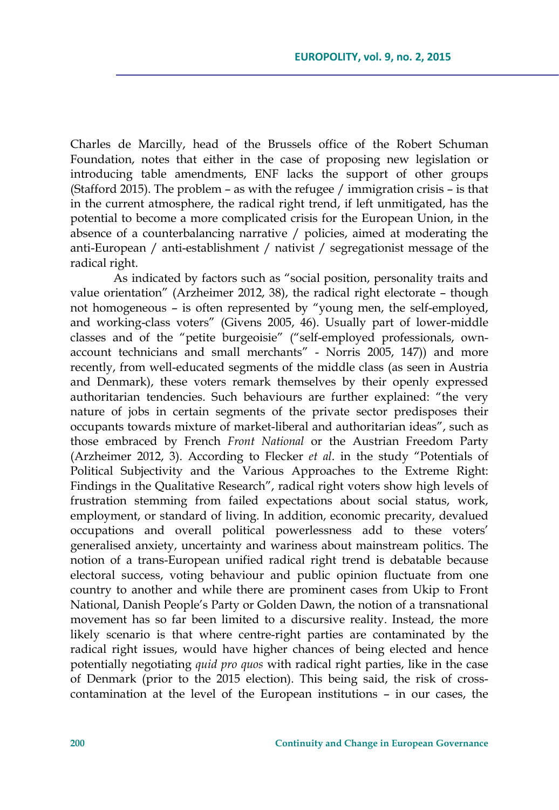Charles de Marcilly, head of the Brussels office of the Robert Schuman Foundation, notes that either in the case of proposing new legislation or introducing table amendments, ENF lacks the support of other groups (Stafford 2015). The problem – as with the refugee / immigration crisis – is that in the current atmosphere, the radical right trend, if left unmitigated, has the potential to become a more complicated crisis for the European Union, in the absence of a counterbalancing narrative / policies, aimed at moderating the anti-European / anti-establishment / nativist / segregationist message of the radical right.

As indicated by factors such as "social position, personality traits and value orientation" (Arzheimer 2012, 38), the radical right electorate – though not homogeneous – is often represented by "young men, the self-employed, and working-class voters" (Givens 2005, 46). Usually part of lower-middle classes and of the "petite burgeoisie" ("self-employed professionals, ownaccount technicians and small merchants" - Norris 2005, 147)) and more recently, from well-educated segments of the middle class (as seen in Austria and Denmark), these voters remark themselves by their openly expressed authoritarian tendencies. Such behaviours are further explained: "the very nature of jobs in certain segments of the private sector predisposes their occupants towards mixture of market-liberal and authoritarian ideas", such as those embraced by French *Front National* or the Austrian Freedom Party (Arzheimer 2012, 3). According to Flecker *et al*. in the study "Potentials of Political Subjectivity and the Various Approaches to the Extreme Right: Findings in the Qualitative Research", radical right voters show high levels of frustration stemming from failed expectations about social status, work, employment, or standard of living. In addition, economic precarity, devalued occupations and overall political powerlessness add to these voters' generalised anxiety, uncertainty and wariness about mainstream politics. The notion of a trans-European unified radical right trend is debatable because electoral success, voting behaviour and public opinion fluctuate from one country to another and while there are prominent cases from Ukip to Front National, Danish People's Party or Golden Dawn, the notion of a transnational movement has so far been limited to a discursive reality. Instead, the more likely scenario is that where centre-right parties are contaminated by the radical right issues, would have higher chances of being elected and hence potentially negotiating *quid pro quos* with radical right parties, like in the case of Denmark (prior to the 2015 election). This being said, the risk of crosscontamination at the level of the European institutions – in our cases, the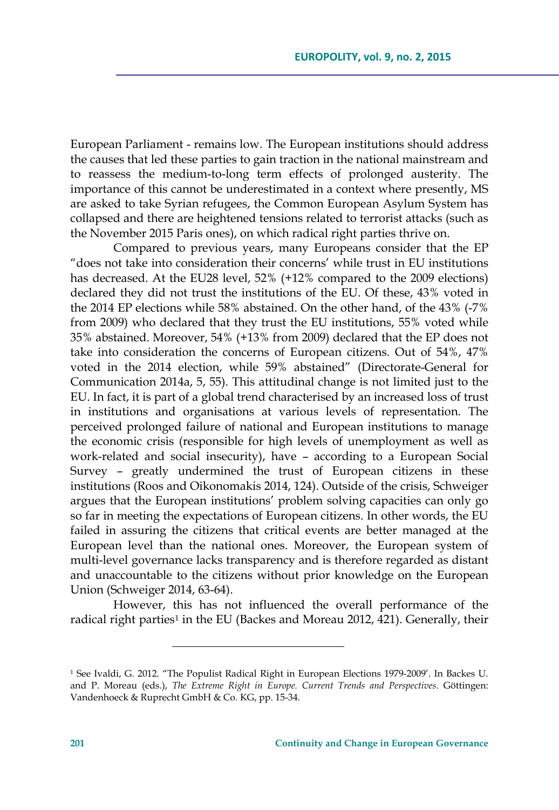European Parliament - remains low. The European institutions should address the causes that led these parties to gain traction in the national mainstream and to reassess the medium-to-long term effects of prolonged austerity. The importance of this cannot be underestimated in a context where presently, MS are asked to take Syrian refugees, the Common European Asylum System has collapsed and there are heightened tensions related to terrorist attacks (such as the November 2015 Paris ones), on which radical right parties thrive on.

Compared to previous years, many Europeans consider that the EP "does not take into consideration their concerns' while trust in EU institutions has decreased. At the EU28 level, 52% (+12% compared to the 2009 elections) declared they did not trust the institutions of the EU. Of these, 43% voted in the 2014 EP elections while 58% abstained. On the other hand, of the 43% (-7% from 2009) who declared that they trust the EU institutions, 55% voted while 35% abstained. Moreover, 54% (+13% from 2009) declared that the EP does not take into consideration the concerns of European citizens. Out of 54%, 47% voted in the 2014 election, while 59% abstained" (Directorate-General for Communication 2014a, 5, 55). This attitudinal change is not limited just to the EU. In fact, it is part of a global trend characterised by an increased loss of trust in institutions and organisations at various levels of representation. The perceived prolonged failure of national and European institutions to manage the economic crisis (responsible for high levels of unemployment as well as work-related and social insecurity), have – according to a European Social Survey – greatly undermined the trust of European citizens in these institutions (Roos and Oikonomakis 2014, 124). Outside of the crisis, Schweiger argues that the European institutions' problem solving capacities can only go so far in meeting the expectations of European citizens. In other words, the EU failed in assuring the citizens that critical events are better managed at the European level than the national ones. Moreover, the European system of multi-level governance lacks transparency and is therefore regarded as distant and unaccountable to the citizens without prior knowledge on the European Union (Schweiger 2014, 63-64).

However, this has not influenced the overall performance of the radical right parties<sup>1</sup> in the EU (Backes and Moreau 2012, 421). Generally, their

<sup>1</sup> See Ivaldi, G. 2012. "The Populist Radical Right in European Elections 1979-2009'. In Backes U. and P. Moreau (eds.), *The Extreme Right in Europe. Current Trends and Perspectives*. Göttingen: Vandenhoeck & Ruprecht GmbH & Co. KG, pp. 15-34.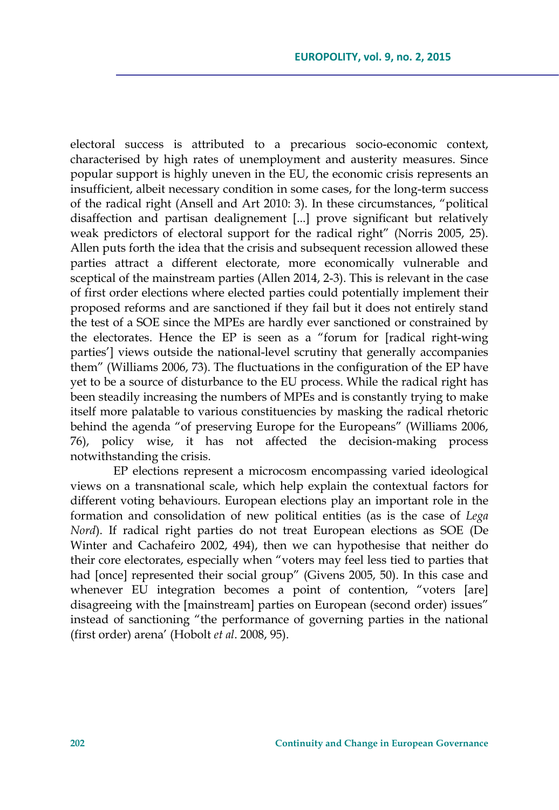electoral success is attributed to a precarious socio-economic context, characterised by high rates of unemployment and austerity measures. Since popular support is highly uneven in the EU, the economic crisis represents an insufficient, albeit necessary condition in some cases, for the long-term success of the radical right (Ansell and Art 2010: 3). In these circumstances, "political disaffection and partisan dealignement [...] prove significant but relatively weak predictors of electoral support for the radical right" (Norris 2005, 25). Allen puts forth the idea that the crisis and subsequent recession allowed these parties attract a different electorate, more economically vulnerable and sceptical of the mainstream parties (Allen 2014, 2-3). This is relevant in the case of first order elections where elected parties could potentially implement their proposed reforms and are sanctioned if they fail but it does not entirely stand the test of a SOE since the MPEs are hardly ever sanctioned or constrained by the electorates. Hence the EP is seen as a "forum for [radical right-wing parties'] views outside the national-level scrutiny that generally accompanies them" (Williams 2006, 73). The fluctuations in the configuration of the EP have yet to be a source of disturbance to the EU process. While the radical right has been steadily increasing the numbers of MPEs and is constantly trying to make itself more palatable to various constituencies by masking the radical rhetoric behind the agenda "of preserving Europe for the Europeans" (Williams 2006, 76), policy wise, it has not affected the decision-making process notwithstanding the crisis.

EP elections represent a microcosm encompassing varied ideological views on a transnational scale, which help explain the contextual factors for different voting behaviours. European elections play an important role in the formation and consolidation of new political entities (as is the case of *Lega Nord*). If radical right parties do not treat European elections as SOE (De Winter and Cachafeiro 2002, 494), then we can hypothesise that neither do their core electorates, especially when "voters may feel less tied to parties that had [once] represented their social group" (Givens 2005, 50). In this case and whenever EU integration becomes a point of contention, "voters [are] disagreeing with the [mainstream] parties on European (second order) issues" instead of sanctioning "the performance of governing parties in the national (first order) arena' (Hobolt *et al*. 2008, 95).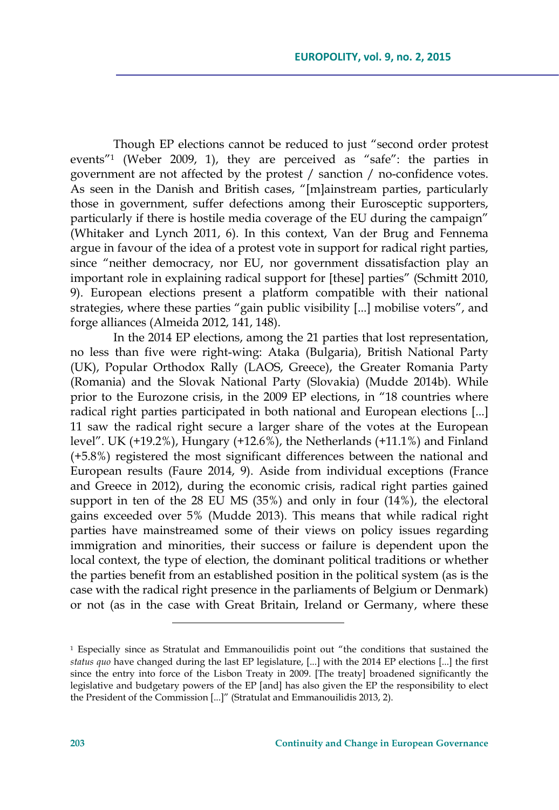Though EP elections cannot be reduced to just "second order protest events"1 (Weber 2009, 1), they are perceived as "safe": the parties in government are not affected by the protest / sanction / no-confidence votes. As seen in the Danish and British cases, "[m]ainstream parties, particularly those in government, suffer defections among their Eurosceptic supporters, particularly if there is hostile media coverage of the EU during the campaign" (Whitaker and Lynch 2011, 6). In this context, Van der Brug and Fennema argue in favour of the idea of a protest vote in support for radical right parties, since "neither democracy, nor EU, nor government dissatisfaction play an important role in explaining radical support for [these] parties" (Schmitt 2010, 9). European elections present a platform compatible with their national strategies, where these parties "gain public visibility [...] mobilise voters", and forge alliances (Almeida 2012, 141, 148).

In the 2014 EP elections, among the 21 parties that lost representation, no less than five were right-wing: Ataka (Bulgaria), British National Party (UK), Popular Orthodox Rally (LAOS, Greece), the Greater Romania Party (Romania) and the Slovak National Party (Slovakia) (Mudde 2014b). While prior to the Eurozone crisis, in the 2009 EP elections, in "18 countries where radical right parties participated in both national and European elections [...] 11 saw the radical right secure a larger share of the votes at the European level". UK (+19.2%), Hungary (+12.6%), the Netherlands (+11.1%) and Finland (+5.8%) registered the most significant differences between the national and European results (Faure 2014, 9). Aside from individual exceptions (France and Greece in 2012), during the economic crisis, radical right parties gained support in ten of the 28 EU MS (35%) and only in four (14%), the electoral gains exceeded over 5% (Mudde 2013). This means that while radical right parties have mainstreamed some of their views on policy issues regarding immigration and minorities, their success or failure is dependent upon the local context, the type of election, the dominant political traditions or whether the parties benefit from an established position in the political system (as is the case with the radical right presence in the parliaments of Belgium or Denmark) or not (as in the case with Great Britain, Ireland or Germany, where these

<sup>&</sup>lt;sup>1</sup> Especially since as Stratulat and Emmanouilidis point out "the conditions that sustained the *status quo* have changed during the last EP legislature, [...] with the 2014 EP elections [...] the first since the entry into force of the Lisbon Treaty in 2009. [The treaty] broadened significantly the legislative and budgetary powers of the EP [and] has also given the EP the responsibility to elect the President of the Commission [...]" (Stratulat and Emmanouilidis 2013, 2).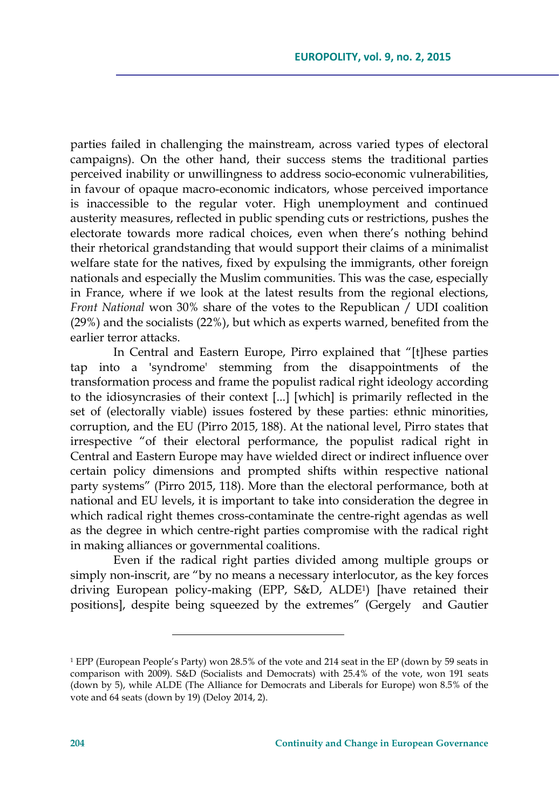parties failed in challenging the mainstream, across varied types of electoral campaigns). On the other hand, their success stems the traditional parties perceived inability or unwillingness to address socio-economic vulnerabilities, in favour of opaque macro-economic indicators, whose perceived importance is inaccessible to the regular voter. High unemployment and continued austerity measures, reflected in public spending cuts or restrictions, pushes the electorate towards more radical choices, even when there's nothing behind their rhetorical grandstanding that would support their claims of a minimalist welfare state for the natives, fixed by expulsing the immigrants, other foreign nationals and especially the Muslim communities. This was the case, especially in France, where if we look at the latest results from the regional elections, *Front National* won 30% share of the votes to the Republican / UDI coalition (29%) and the socialists (22%), but which as experts warned, benefited from the earlier terror attacks.

In Central and Eastern Europe, Pirro explained that "[t]hese parties tap into a 'syndrome' stemming from the disappointments of the transformation process and frame the populist radical right ideology according to the idiosyncrasies of their context [...] [which] is primarily reflected in the set of (electorally viable) issues fostered by these parties: ethnic minorities, corruption, and the EU (Pirro 2015, 188). At the national level, Pirro states that irrespective "of their electoral performance, the populist radical right in Central and Eastern Europe may have wielded direct or indirect influence over certain policy dimensions and prompted shifts within respective national party systems" (Pirro 2015, 118). More than the electoral performance, both at national and EU levels, it is important to take into consideration the degree in which radical right themes cross-contaminate the centre-right agendas as well as the degree in which centre-right parties compromise with the radical right in making alliances or governmental coalitions.

Even if the radical right parties divided among multiple groups or simply non-inscrit, are "by no means a necessary interlocutor, as the key forces driving European policy-making (EPP, S&D, ALDE1) [have retained their positions], despite being squeezed by the extremes" (Gergely and Gautier

<sup>1</sup> EPP (European People's Party) won 28.5% of the vote and 214 seat in the EP (down by 59 seats in comparison with 2009). S&D (Socialists and Democrats) with 25.4% of the vote, won 191 seats (down by 5), while ALDE (The Alliance for Democrats and Liberals for Europe) won 8.5% of the vote and 64 seats (down by 19) (Deloy 2014, 2).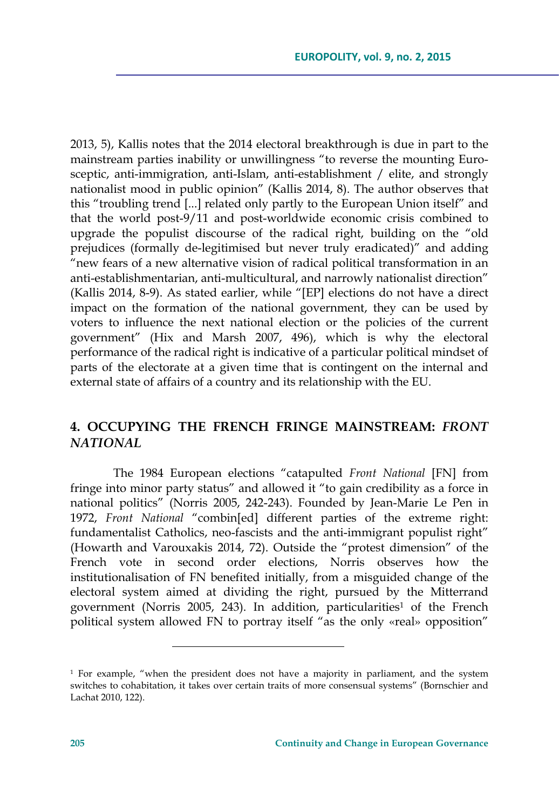2013, 5), Kallis notes that the 2014 electoral breakthrough is due in part to the mainstream parties inability or unwillingness "to reverse the mounting Eurosceptic, anti-immigration, anti-Islam, anti-establishment / elite, and strongly nationalist mood in public opinion" (Kallis 2014, 8). The author observes that this "troubling trend [...] related only partly to the European Union itself" and that the world post-9/11 and post-worldwide economic crisis combined to upgrade the populist discourse of the radical right, building on the "old prejudices (formally de-legitimised but never truly eradicated)" and adding "new fears of a new alternative vision of radical political transformation in an anti-establishmentarian, anti-multicultural, and narrowly nationalist direction" (Kallis 2014, 8-9). As stated earlier, while "[EP] elections do not have a direct impact on the formation of the national government, they can be used by voters to influence the next national election or the policies of the current government" (Hix and Marsh 2007, 496), which is why the electoral performance of the radical right is indicative of a particular political mindset of parts of the electorate at a given time that is contingent on the internal and external state of affairs of a country and its relationship with the EU.

# **4. OCCUPYING THE FRENCH FRINGE MAINSTREAM:** *FRONT NATIONAL*

The 1984 European elections "catapulted *Front National* [FN] from fringe into minor party status" and allowed it "to gain credibility as a force in national politics" (Norris 2005, 242-243). Founded by Jean-Marie Le Pen in 1972, *Front National* "combin[ed] different parties of the extreme right: fundamentalist Catholics, neo-fascists and the anti-immigrant populist right" (Howarth and Varouxakis 2014, 72). Outside the "protest dimension" of the French vote in second order elections, Norris observes how the institutionalisation of FN benefited initially, from a misguided change of the electoral system aimed at dividing the right, pursued by the Mitterrand government (Norris 2005, 243). In addition, particularities<sup>1</sup> of the French political system allowed FN to portray itself "as the only «real» opposition"

<sup>1</sup> For example, "when the president does not have a majority in parliament, and the system switches to cohabitation, it takes over certain traits of more consensual systems" (Bornschier and Lachat 2010, 122).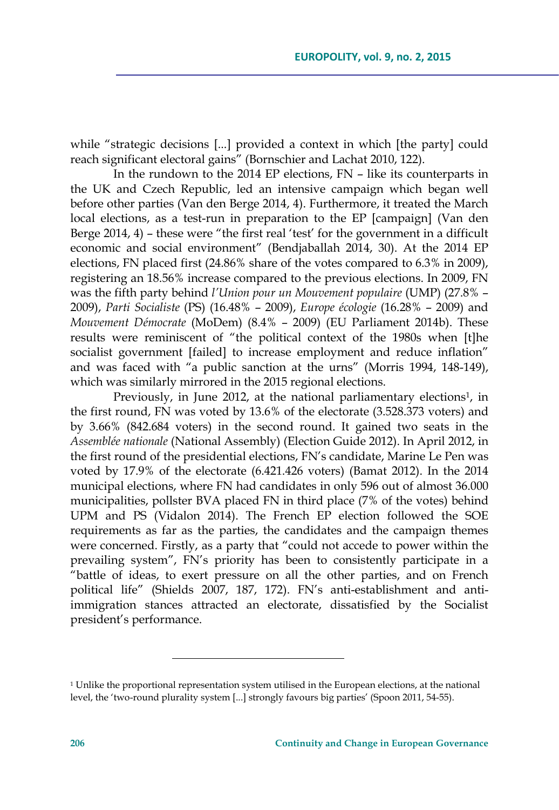while "strategic decisions [...] provided a context in which [the party] could reach significant electoral gains" (Bornschier and Lachat 2010, 122).

In the rundown to the 2014 EP elections, FN – like its counterparts in the UK and Czech Republic, led an intensive campaign which began well before other parties (Van den Berge 2014, 4). Furthermore, it treated the March local elections, as a test-run in preparation to the EP [campaign] (Van den Berge 2014, 4) – these were "the first real 'test' for the government in a difficult economic and social environment" (Bendjaballah 2014, 30). At the 2014 EP elections, FN placed first (24.86% share of the votes compared to 6.3% in 2009), registering an 18.56% increase compared to the previous elections. In 2009, FN was the fifth party behind *l'Union pour un Mouvement populaire* (UMP) (27.8% – 2009), *Parti Socialiste* (PS) (16.48% – 2009), *Europe écologie* (16.28% – 2009) and *Mouvement Démocrate* (MoDem) (8.4% – 2009) (EU Parliament 2014b). These results were reminiscent of "the political context of the 1980s when [t]he socialist government [failed] to increase employment and reduce inflation" and was faced with "a public sanction at the urns" (Morris 1994, 148-149), which was similarly mirrored in the 2015 regional elections.

Previously, in June 2012, at the national parliamentary elections<sup>1</sup>, in the first round, FN was voted by 13.6% of the electorate (3.528.373 voters) and by 3.66% (842.684 voters) in the second round. It gained two seats in the *Assemblée nationale* (National Assembly) (Election Guide 2012). In April 2012, in the first round of the presidential elections, FN's candidate, Marine Le Pen was voted by 17.9% of the electorate (6.421.426 voters) (Bamat 2012). In the 2014 municipal elections, where FN had candidates in only 596 out of almost 36.000 municipalities, pollster BVA placed FN in third place (7% of the votes) behind UPM and PS (Vidalon 2014). The French EP election followed the SOE requirements as far as the parties, the candidates and the campaign themes were concerned. Firstly, as a party that "could not accede to power within the prevailing system", FN's priority has been to consistently participate in a "battle of ideas, to exert pressure on all the other parties, and on French political life" (Shields 2007, 187, 172). FN's anti-establishment and antiimmigration stances attracted an electorate, dissatisfied by the Socialist president's performance.

<sup>&</sup>lt;sup>1</sup> Unlike the proportional representation system utilised in the European elections, at the national level, the 'two-round plurality system [...] strongly favours big parties' (Spoon 2011, 54-55).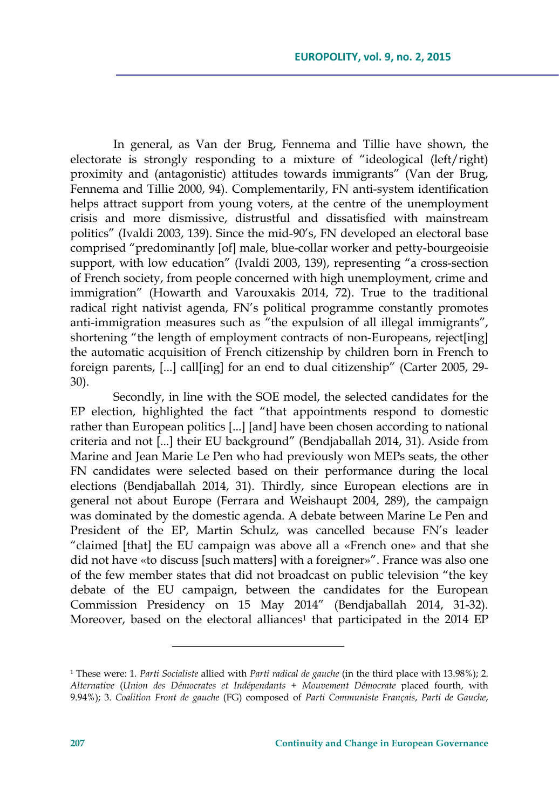In general, as Van der Brug, Fennema and Tillie have shown, the electorate is strongly responding to a mixture of "ideological (left/right) proximity and (antagonistic) attitudes towards immigrants" (Van der Brug, Fennema and Tillie 2000, 94). Complementarily, FN anti-system identification helps attract support from young voters, at the centre of the unemployment crisis and more dismissive, distrustful and dissatisfied with mainstream politics" (Ivaldi 2003, 139). Since the mid-90's, FN developed an electoral base comprised "predominantly [of] male, blue-collar worker and petty-bourgeoisie support, with low education" (Ivaldi 2003, 139), representing "a cross-section of French society, from people concerned with high unemployment, crime and immigration" (Howarth and Varouxakis 2014, 72). True to the traditional radical right nativist agenda, FN's political programme constantly promotes anti-immigration measures such as "the expulsion of all illegal immigrants", shortening "the length of employment contracts of non-Europeans, reject[ing] the automatic acquisition of French citizenship by children born in French to foreign parents, [...] call[ing] for an end to dual citizenship" (Carter 2005, 29- 30).

Secondly, in line with the SOE model, the selected candidates for the EP election, highlighted the fact "that appointments respond to domestic rather than European politics [...] [and] have been chosen according to national criteria and not [...] their EU background" (Bendjaballah 2014, 31). Aside from Marine and Jean Marie Le Pen who had previously won MEPs seats, the other FN candidates were selected based on their performance during the local elections (Bendjaballah 2014, 31). Thirdly, since European elections are in general not about Europe (Ferrara and Weishaupt 2004, 289), the campaign was dominated by the domestic agenda. A debate between Marine Le Pen and President of the EP, Martin Schulz, was cancelled because FN's leader "claimed [that] the EU campaign was above all a «French one» and that she did not have «to discuss [such matters] with a foreigner»". France was also one of the few member states that did not broadcast on public television "the key debate of the EU campaign, between the candidates for the European Commission Presidency on 15 May 2014" (Bendjaballah 2014, 31-32). Moreover, based on the electoral alliances<sup>1</sup> that participated in the 2014 EP

<sup>1</sup> These were: 1. *Parti Socialiste* allied with *Parti radical de gauche* (in the third place with 13.98%); 2. *Alternative* (*Union des Démocrates et Indépendants* + *Mouvement Démocrate* placed fourth, with 9.94%); 3. *Coalition Front de gauche* (FG) composed of *Parti Communiste Français*, *Parti de Gauche*,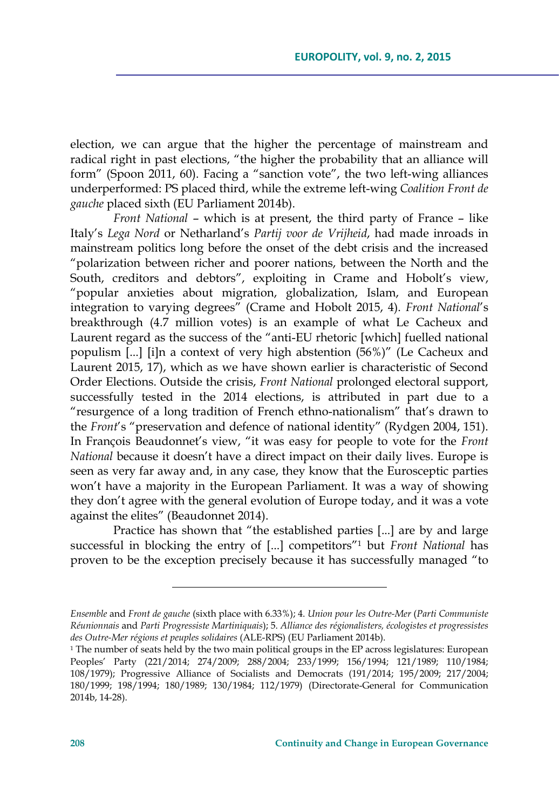election, we can argue that the higher the percentage of mainstream and radical right in past elections, "the higher the probability that an alliance will form" (Spoon 2011, 60). Facing a "sanction vote", the two left-wing alliances underperformed: PS placed third, while the extreme left-wing *Coalition Front de gauche* placed sixth (EU Parliament 2014b).

*Front National* – which is at present, the third party of France – like Italy's *Lega Nord* or Netharland's *Partij voor de Vrijheid*, had made inroads in mainstream politics long before the onset of the debt crisis and the increased "polarization between richer and poorer nations, between the North and the South, creditors and debtors", exploiting in Crame and Hobolt's view, "popular anxieties about migration, globalization, Islam, and European integration to varying degrees" (Crame and Hobolt 2015, 4). *Front National*'s breakthrough (4.7 million votes) is an example of what Le Cacheux and Laurent regard as the success of the "anti-EU rhetoric [which] fuelled national populism [...] [i]n a context of very high abstention (56%)" (Le Cacheux and Laurent 2015, 17), which as we have shown earlier is characteristic of Second Order Elections. Outside the crisis, *Front National* prolonged electoral support, successfully tested in the 2014 elections, is attributed in part due to a "resurgence of a long tradition of French ethno-nationalism" that's drawn to the *Front*'s "preservation and defence of national identity" (Rydgen 2004, 151). In François Beaudonnet's view, "it was easy for people to vote for the *Front National* because it doesn't have a direct impact on their daily lives. Europe is seen as very far away and, in any case, they know that the Eurosceptic parties won't have a majority in the European Parliament. It was a way of showing they don't agree with the general evolution of Europe today, and it was a vote against the elites" (Beaudonnet 2014).

Practice has shown that "the established parties [...] are by and large successful in blocking the entry of [...] competitors"1 but *Front National* has proven to be the exception precisely because it has successfully managed "to

<u> 1989 - Johann Barn, mars eta bainar eta industrial eta bainar eta baina eta baina eta baina eta baina eta ba</u>

*Ensemble* and *Front de gauche* (sixth place with 6.33%); 4. *Union pour les Outre-Mer* (*Parti Communiste Réunionnais* and *Parti Progressiste Martiniquais*); 5. *Alliance des régionalisters, écologistes et progressistes des Outre-Mer régions et peuples solidaires* (ALE-RPS) (EU Parliament 2014b).

 $1$ <sup>1</sup> The number of seats held by the two main political groups in the EP across legislatures: European Peoples' Party (221/2014; 274/2009; 288/2004; 233/1999; 156/1994; 121/1989; 110/1984; 108/1979); Progressive Alliance of Socialists and Democrats (191/2014; 195/2009; 217/2004; 180/1999; 198/1994; 180/1989; 130/1984; 112/1979) (Directorate-General for Communication 2014b, 14-28).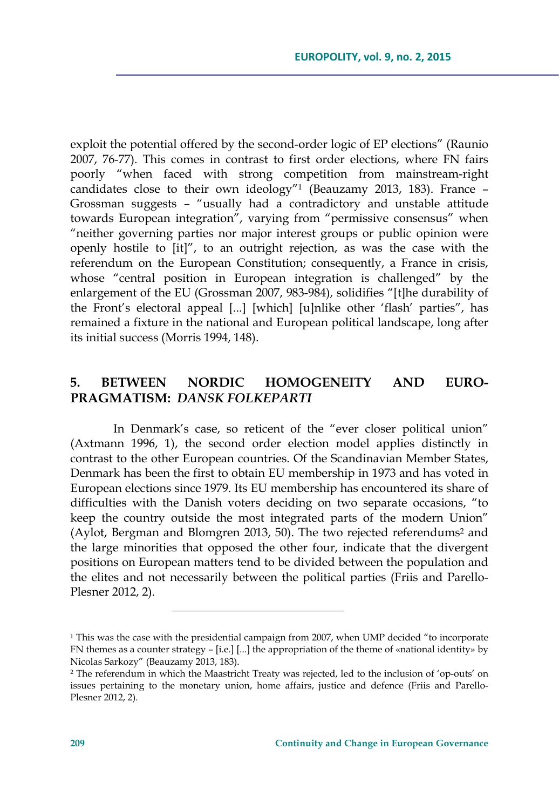exploit the potential offered by the second-order logic of EP elections" (Raunio 2007, 76-77). This comes in contrast to first order elections, where FN fairs poorly "when faced with strong competition from mainstream-right candidates close to their own ideology"<sup>1</sup> (Beauzamy 2013, 183). France  $-$ Grossman suggests – "usually had a contradictory and unstable attitude towards European integration", varying from "permissive consensus" when "neither governing parties nor major interest groups or public opinion were openly hostile to [it]", to an outright rejection, as was the case with the referendum on the European Constitution; consequently, a France in crisis, whose "central position in European integration is challenged" by the enlargement of the EU (Grossman 2007, 983-984), solidifies "[t]he durability of the Front's electoral appeal [...] [which] [u]nlike other 'flash' parties", has remained a fixture in the national and European political landscape, long after its initial success (Morris 1994, 148).

## **5. BETWEEN NORDIC HOMOGENEITY AND EURO-PRAGMATISM:** *DANSK FOLKEPARTI*

In Denmark's case, so reticent of the "ever closer political union" (Axtmann 1996, 1), the second order election model applies distinctly in contrast to the other European countries. Of the Scandinavian Member States, Denmark has been the first to obtain EU membership in 1973 and has voted in European elections since 1979. Its EU membership has encountered its share of difficulties with the Danish voters deciding on two separate occasions, "to keep the country outside the most integrated parts of the modern Union" (Aylot, Bergman and Blomgren 2013, 50). The two rejected referendums<sup>2</sup> and the large minorities that opposed the other four, indicate that the divergent positions on European matters tend to be divided between the population and the elites and not necessarily between the political parties (Friis and Parello-Plesner 2012, 2).

<sup>&</sup>lt;sup>1</sup> This was the case with the presidential campaign from 2007, when UMP decided "to incorporate FN themes as a counter strategy – [i.e.] [...] the appropriation of the theme of «national identity» by Nicolas Sarkozy" (Beauzamy 2013, 183).

<sup>2</sup> The referendum in which the Maastricht Treaty was rejected, led to the inclusion of 'op-outs' on issues pertaining to the monetary union, home affairs, justice and defence (Friis and Parello-Plesner 2012, 2).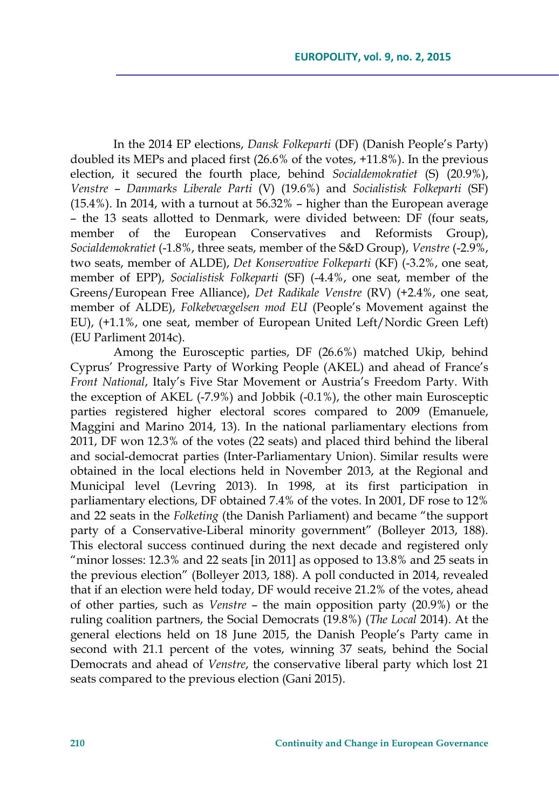In the 2014 EP elections, *Dansk Folkeparti* (DF) (Danish People's Party) doubled its MEPs and placed first (26.6% of the votes, +11.8%). In the previous election, it secured the fourth place, behind *Socialdemokratiet* (S) (20.9%), *Venstre* – *Danmarks Liberale Parti* (V) (19.6%) and *Socialistisk Folkeparti* (SF) (15.4%). In 2014, with a turnout at 56.32% – higher than the European average – the 13 seats allotted to Denmark, were divided between: DF (four seats, member of the European Conservatives and Reformists Group), *Socialdemokratiet* (-1.8%, three seats, member of the S&D Group), *Venstre* (-2.9%, two seats, member of ALDE), *Det Konservative Folkeparti* (KF) (-3.2%, one seat, member of EPP), *Socialistisk Folkeparti* (SF) (-4.4%, one seat, member of the Greens/European Free Alliance), *Det Radikale Venstre* (RV) (+2.4%, one seat, member of ALDE), *Folkebevægelsen mod EU* (People's Movement against the EU), (+1.1%, one seat, member of European United Left/Nordic Green Left) (EU Parliment 2014c).

Among the Eurosceptic parties, DF (26.6%) matched Ukip, behind Cyprus' Progressive Party of Working People (AKEL) and ahead of France's *Front National*, Italy's Five Star Movement or Austria's Freedom Party. With the exception of AKEL (-7.9%) and Jobbik (-0.1%), the other main Eurosceptic parties registered higher electoral scores compared to 2009 (Emanuele, Maggini and Marino 2014, 13). In the national parliamentary elections from 2011, DF won 12.3% of the votes (22 seats) and placed third behind the liberal and social-democrat parties (Inter-Parliamentary Union). Similar results were obtained in the local elections held in November 2013, at the Regional and Municipal level (Levring 2013). In 1998, at its first participation in parliamentary elections, DF obtained 7.4% of the votes. In 2001, DF rose to 12% and 22 seats in the *Folketing* (the Danish Parliament) and became "the support party of a Conservative-Liberal minority government" (Bolleyer 2013, 188). This electoral success continued during the next decade and registered only "minor losses: 12.3% and 22 seats [in 2011] as opposed to 13.8% and 25 seats in the previous election" (Bolleyer 2013, 188). A poll conducted in 2014, revealed that if an election were held today, DF would receive 21.2% of the votes, ahead of other parties, such as *Venstre* – the main opposition party (20.9%) or the ruling coalition partners, the Social Democrats (19.8%) (*The Local* 2014). At the general elections held on 18 June 2015, the Danish People's Party came in second with 21.1 percent of the votes, winning 37 seats, behind the Social Democrats and ahead of *Venstre*, the conservative liberal party which lost 21 seats compared to the previous election (Gani 2015).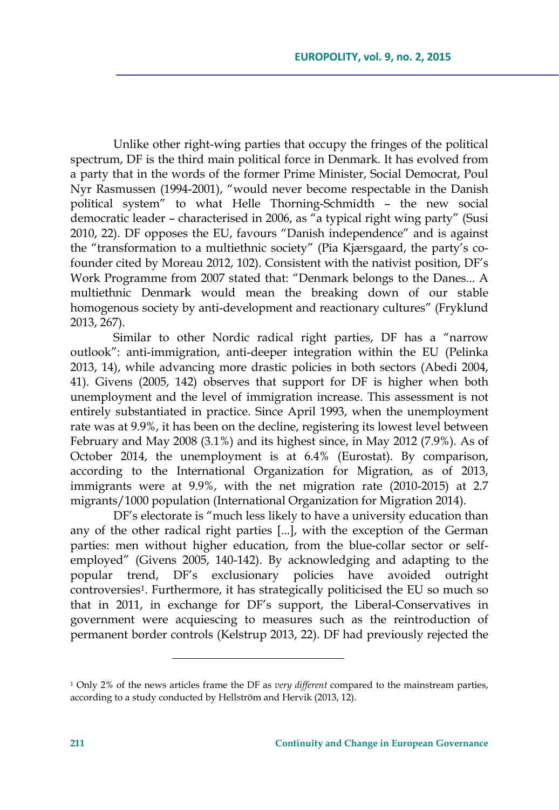Unlike other right-wing parties that occupy the fringes of the political spectrum, DF is the third main political force in Denmark. It has evolved from a party that in the words of the former Prime Minister, Social Democrat, Poul Nyr Rasmussen (1994-2001), "would never become respectable in the Danish political system" to what Helle Thorning-Schmidth – the new social democratic leader – characterised in 2006, as "a typical right wing party" (Susi 2010, 22). DF opposes the EU, favours "Danish independence" and is against the "transformation to a multiethnic society" (Pia Kjærsgaard, the party's cofounder cited by Moreau 2012, 102). Consistent with the nativist position, DF's Work Programme from 2007 stated that: "Denmark belongs to the Danes... A multiethnic Denmark would mean the breaking down of our stable homogenous society by anti-development and reactionary cultures" (Fryklund 2013, 267).

Similar to other Nordic radical right parties, DF has a "narrow outlook": anti-immigration, anti-deeper integration within the EU (Pelinka 2013, 14), while advancing more drastic policies in both sectors (Abedi 2004, 41). Givens (2005, 142) observes that support for DF is higher when both unemployment and the level of immigration increase. This assessment is not entirely substantiated in practice. Since April 1993, when the unemployment rate was at 9.9%, it has been on the decline, registering its lowest level between February and May 2008 (3.1%) and its highest since, in May 2012 (7.9%). As of October 2014, the unemployment is at 6.4% (Eurostat). By comparison, according to the International Organization for Migration, as of 2013, immigrants were at 9.9%, with the net migration rate (2010-2015) at 2.7 migrants/1000 population (International Organization for Migration 2014).

DF's electorate is "much less likely to have a university education than any of the other radical right parties [...], with the exception of the German parties: men without higher education, from the blue-collar sector or selfemployed" (Givens 2005, 140-142). By acknowledging and adapting to the popular trend, DF's exclusionary policies have avoided outright controversies<sup>1</sup>. Furthermore, it has strategically politicised the EU so much so that in 2011, in exchange for DF's support, the Liberal-Conservatives in government were acquiescing to measures such as the reintroduction of permanent border controls (Kelstrup 2013, 22). DF had previously rejected the

<sup>1</sup> Only 2% of the news articles frame the DF as *very different* compared to the mainstream parties, according to a study conducted by Hellström and Hervik (2013, 12).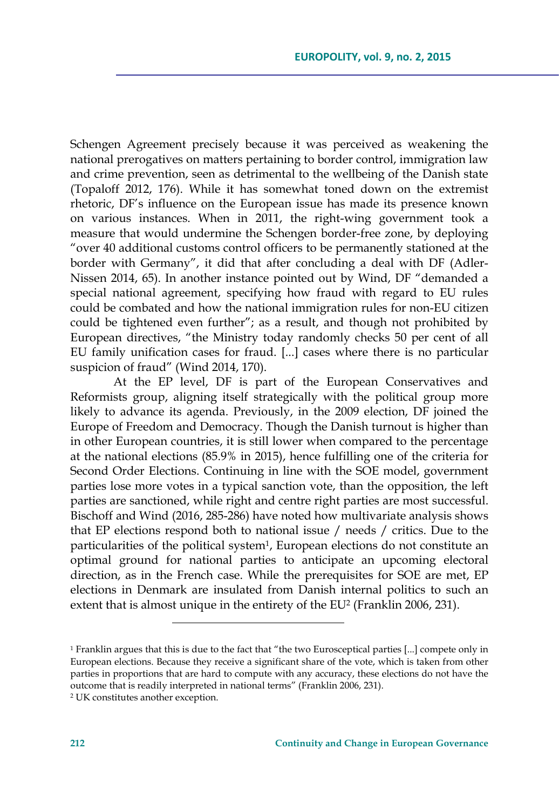Schengen Agreement precisely because it was perceived as weakening the national prerogatives on matters pertaining to border control, immigration law and crime prevention, seen as detrimental to the wellbeing of the Danish state (Topaloff 2012, 176). While it has somewhat toned down on the extremist rhetoric, DF's influence on the European issue has made its presence known on various instances. When in 2011, the right-wing government took a measure that would undermine the Schengen border-free zone, by deploying "over 40 additional customs control officers to be permanently stationed at the border with Germany", it did that after concluding a deal with DF (Adler-Nissen 2014, 65). In another instance pointed out by Wind, DF "demanded a special national agreement, specifying how fraud with regard to EU rules could be combated and how the national immigration rules for non-EU citizen could be tightened even further"; as a result, and though not prohibited by European directives, "the Ministry today randomly checks 50 per cent of all EU family unification cases for fraud. [...] cases where there is no particular suspicion of fraud" (Wind 2014, 170).

At the EP level, DF is part of the European Conservatives and Reformists group, aligning itself strategically with the political group more likely to advance its agenda. Previously, in the 2009 election, DF joined the Europe of Freedom and Democracy. Though the Danish turnout is higher than in other European countries, it is still lower when compared to the percentage at the national elections (85.9% in 2015), hence fulfilling one of the criteria for Second Order Elections. Continuing in line with the SOE model, government parties lose more votes in a typical sanction vote, than the opposition, the left parties are sanctioned, while right and centre right parties are most successful. Bischoff and Wind (2016, 285-286) have noted how multivariate analysis shows that EP elections respond both to national issue / needs / critics. Due to the particularities of the political system<sup>1</sup>, European elections do not constitute an optimal ground for national parties to anticipate an upcoming electoral direction, as in the French case. While the prerequisites for SOE are met, EP elections in Denmark are insulated from Danish internal politics to such an extent that is almost unique in the entirety of the EU<sup>2</sup> (Franklin 2006, 231).

<sup>1</sup> Franklin argues that this is due to the fact that "the two Eurosceptical parties [...] compete only in European elections. Because they receive a significant share of the vote, which is taken from other parties in proportions that are hard to compute with any accuracy, these elections do not have the outcome that is readily interpreted in national terms" (Franklin 2006, 231).

<sup>2</sup> UK constitutes another exception.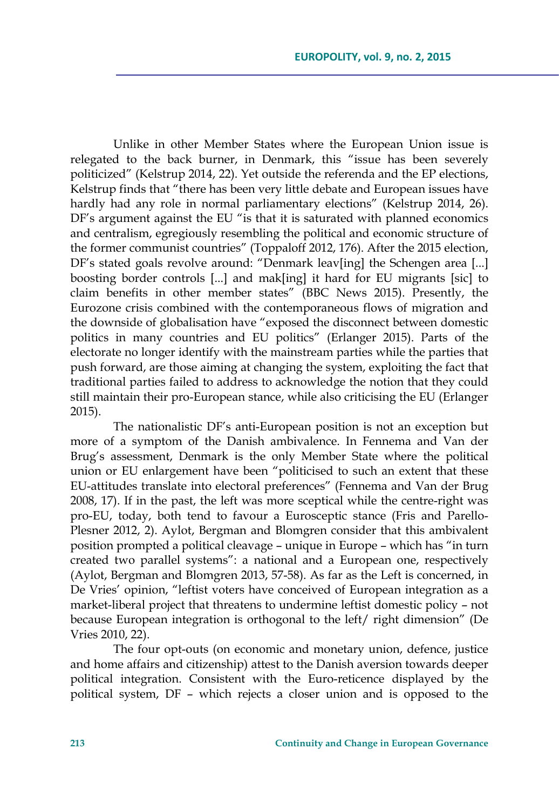Unlike in other Member States where the European Union issue is relegated to the back burner, in Denmark, this "issue has been severely politicized" (Kelstrup 2014, 22). Yet outside the referenda and the EP elections, Kelstrup finds that "there has been very little debate and European issues have hardly had any role in normal parliamentary elections" (Kelstrup 2014, 26). DF's argument against the EU "is that it is saturated with planned economics and centralism, egregiously resembling the political and economic structure of the former communist countries" (Toppaloff 2012, 176). After the 2015 election, DF's stated goals revolve around: "Denmark leav[ing] the Schengen area [...] boosting border controls [...] and mak[ing] it hard for EU migrants [sic] to claim benefits in other member states" (BBC News 2015). Presently, the Eurozone crisis combined with the contemporaneous flows of migration and the downside of globalisation have "exposed the disconnect between domestic politics in many countries and EU politics" (Erlanger 2015). Parts of the electorate no longer identify with the mainstream parties while the parties that push forward, are those aiming at changing the system, exploiting the fact that traditional parties failed to address to acknowledge the notion that they could still maintain their pro-European stance, while also criticising the EU (Erlanger 2015).

The nationalistic DF's anti-European position is not an exception but more of a symptom of the Danish ambivalence. In Fennema and Van der Brug's assessment, Denmark is the only Member State where the political union or EU enlargement have been "politicised to such an extent that these EU-attitudes translate into electoral preferences" (Fennema and Van der Brug 2008, 17). If in the past, the left was more sceptical while the centre-right was pro-EU, today, both tend to favour a Eurosceptic stance (Fris and Parello-Plesner 2012, 2). Aylot, Bergman and Blomgren consider that this ambivalent position prompted a political cleavage – unique in Europe – which has "in turn created two parallel systems": a national and a European one, respectively (Aylot, Bergman and Blomgren 2013, 57-58). As far as the Left is concerned, in De Vries' opinion, "leftist voters have conceived of European integration as a market-liberal project that threatens to undermine leftist domestic policy – not because European integration is orthogonal to the left/ right dimension" (De Vries 2010, 22).

The four opt-outs (on economic and monetary union, defence, justice and home affairs and citizenship) attest to the Danish aversion towards deeper political integration. Consistent with the Euro-reticence displayed by the political system, DF – which rejects a closer union and is opposed to the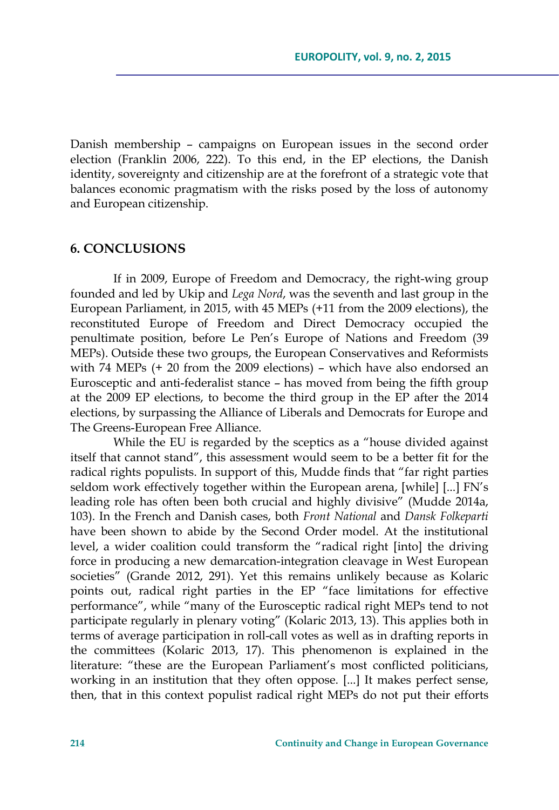Danish membership – campaigns on European issues in the second order election (Franklin 2006, 222). To this end, in the EP elections, the Danish identity, sovereignty and citizenship are at the forefront of a strategic vote that balances economic pragmatism with the risks posed by the loss of autonomy and European citizenship.

#### **6. CONCLUSIONS**

If in 2009, Europe of Freedom and Democracy, the right-wing group founded and led by Ukip and *Lega Nord*, was the seventh and last group in the European Parliament, in 2015, with 45 MEPs (+11 from the 2009 elections), the reconstituted Europe of Freedom and Direct Democracy occupied the penultimate position, before Le Pen's Europe of Nations and Freedom (39 MEPs). Outside these two groups, the European Conservatives and Reformists with 74 MEPs (+ 20 from the 2009 elections) – which have also endorsed an Eurosceptic and anti-federalist stance – has moved from being the fifth group at the 2009 EP elections, to become the third group in the EP after the 2014 elections, by surpassing the Alliance of Liberals and Democrats for Europe and The Greens-European Free Alliance.

While the EU is regarded by the sceptics as a "house divided against itself that cannot stand", this assessment would seem to be a better fit for the radical rights populists. In support of this, Mudde finds that "far right parties seldom work effectively together within the European arena, [while] [...] FN's leading role has often been both crucial and highly divisive" (Mudde 2014a, 103). In the French and Danish cases, both *Front National* and *Dansk Folkeparti* have been shown to abide by the Second Order model. At the institutional level, a wider coalition could transform the "radical right [into] the driving force in producing a new demarcation-integration cleavage in West European societies" (Grande 2012, 291). Yet this remains unlikely because as Kolaric points out, radical right parties in the EP "face limitations for effective performance", while "many of the Eurosceptic radical right MEPs tend to not participate regularly in plenary voting" (Kolaric 2013, 13). This applies both in terms of average participation in roll-call votes as well as in drafting reports in the committees (Kolaric 2013, 17). This phenomenon is explained in the literature: "these are the European Parliament's most conflicted politicians, working in an institution that they often oppose. [...] It makes perfect sense, then, that in this context populist radical right MEPs do not put their efforts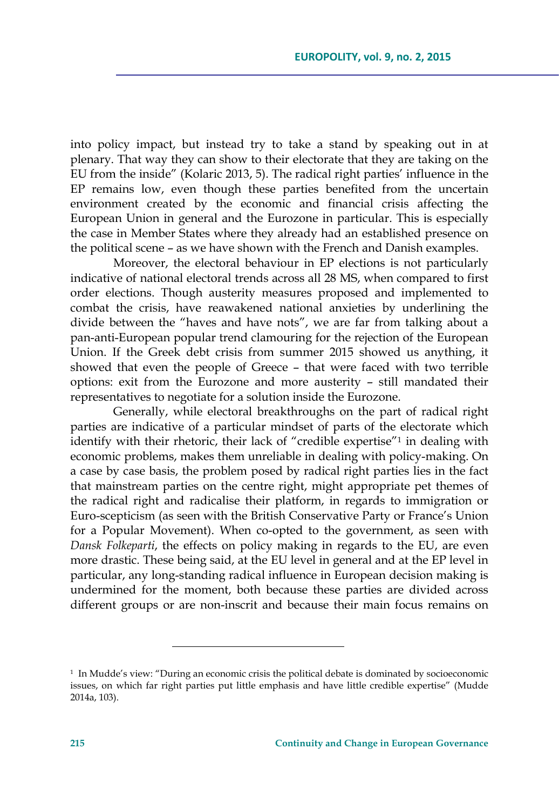into policy impact, but instead try to take a stand by speaking out in at plenary. That way they can show to their electorate that they are taking on the EU from the inside" (Kolaric 2013, 5). The radical right parties' influence in the EP remains low, even though these parties benefited from the uncertain environment created by the economic and financial crisis affecting the European Union in general and the Eurozone in particular. This is especially the case in Member States where they already had an established presence on the political scene – as we have shown with the French and Danish examples.

Moreover, the electoral behaviour in EP elections is not particularly indicative of national electoral trends across all 28 MS, when compared to first order elections. Though austerity measures proposed and implemented to combat the crisis, have reawakened national anxieties by underlining the divide between the "haves and have nots", we are far from talking about a pan-anti-European popular trend clamouring for the rejection of the European Union. If the Greek debt crisis from summer 2015 showed us anything, it showed that even the people of Greece – that were faced with two terrible options: exit from the Eurozone and more austerity – still mandated their representatives to negotiate for a solution inside the Eurozone.

Generally, while electoral breakthroughs on the part of radical right parties are indicative of a particular mindset of parts of the electorate which identify with their rhetoric, their lack of "credible expertise"1 in dealing with economic problems, makes them unreliable in dealing with policy-making. On a case by case basis, the problem posed by radical right parties lies in the fact that mainstream parties on the centre right, might appropriate pet themes of the radical right and radicalise their platform, in regards to immigration or Euro-scepticism (as seen with the British Conservative Party or France's Union for a Popular Movement). When co-opted to the government, as seen with *Dansk Folkeparti*, the effects on policy making in regards to the EU, are even more drastic. These being said, at the EU level in general and at the EP level in particular, any long-standing radical influence in European decision making is undermined for the moment, both because these parties are divided across different groups or are non-inscrit and because their main focus remains on

<sup>1</sup> In Mudde's view: "During an economic crisis the political debate is dominated by socioeconomic issues, on which far right parties put little emphasis and have little credible expertise" (Mudde 2014a, 103).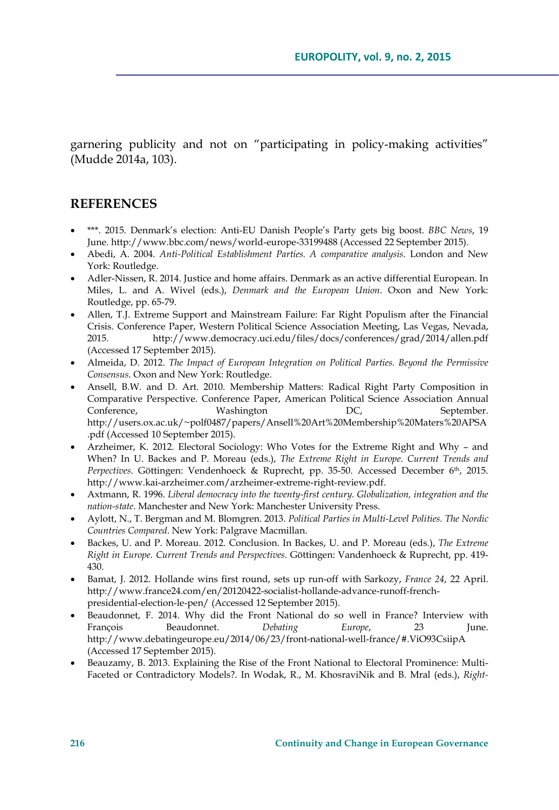garnering publicity and not on "participating in policy-making activities" (Mudde 2014a, 103).

### **REFERENCES**

- \*\*\*. 2015. Denmark's election: Anti-EU Danish People's Party gets big boost. *BBC News*, 19 June. http://www.bbc.com/news/world-europe-33199488 (Accessed 22 September 2015).
- Abedi, A. 2004. *Anti-Political Establishment Parties. A comparative analysis*. London and New York: Routledge.
- Adler-Nissen, R. 2014. Justice and home affairs. Denmark as an active differential European. In Miles, L. and A. Wivel (eds.), *Denmark and the European Union*. Oxon and New York: Routledge, pp. 65-79.
- Allen, T.J. Extreme Support and Mainstream Failure: Far Right Populism after the Financial Crisis. Conference Paper, Western Political Science Association Meeting, Las Vegas, Nevada, 2015. http://www.democracy.uci.edu/files/docs/conferences/grad/2014/allen.pdf (Accessed 17 September 2015).
- Almeida, D. 2012. *The Impact of European Integration on Political Parties. Beyond the Permissive Consensus*. Oxon and New York: Routledge.
- Ansell, B.W. and D. Art. 2010. Membership Matters: Radical Right Party Composition in Comparative Perspective. Conference Paper, American Political Science Association Annual Conference, Washington DC, September. http://users.ox.ac.uk/~polf0487/papers/Ansell%20Art%20Membership%20Maters%20APSA .pdf (Accessed 10 September 2015).
- Arzheimer, K. 2012. Electoral Sociology: Who Votes for the Extreme Right and Why and When? In U. Backes and P. Moreau (eds.), *The Extreme Right in Europe. Current Trends and Perpectives*. Göttingen: Vendenhoeck & Ruprecht, pp. 35-50. Accessed December 6<sup>th</sup>, 2015. http://www.kai-arzheimer.com/arzheimer-extreme-right-review.pdf.
- Axtmann, R. 1996. *Liberal democracy into the twenty-first century. Globalization, integration and the nation-state*. Manchester and New York: Manchester University Press.
- Aylott, N., T. Bergman and M. Blomgren. 2013. *Political Parties in Multi-Level Polities. The Nordic Countries Compared*. New York: Palgrave Macmillan.
- Backes, U. and P. Moreau. 2012. Conclusion. In Backes, U. and P. Moreau (eds.), *The Extreme Right in Europe. Current Trends and Perspectives*. Göttingen: Vandenhoeck & Ruprecht, pp. 419- 430.
- Bamat, J. 2012. Hollande wins first round, sets up run-off with Sarkozy, *France 24*, 22 April. http://www.france24.com/en/20120422-socialist-hollande-advance-runoff-frenchpresidential-election-le-pen/ (Accessed 12 September 2015).
- Beaudonnet, F. 2014. Why did the Front National do so well in France? Interview with François Beaudonnet. *Debating Europe*, 23 June. http://www.debatingeurope.eu/2014/06/23/front-national-well-france/#.ViO93CsiipA (Accessed 17 September 2015).
- Beauzamy, B. 2013. Explaining the Rise of the Front National to Electoral Prominence: Multi-Faceted or Contradictory Models?. In Wodak, R., M. KhosraviNik and B. Mral (eds.), *Right-*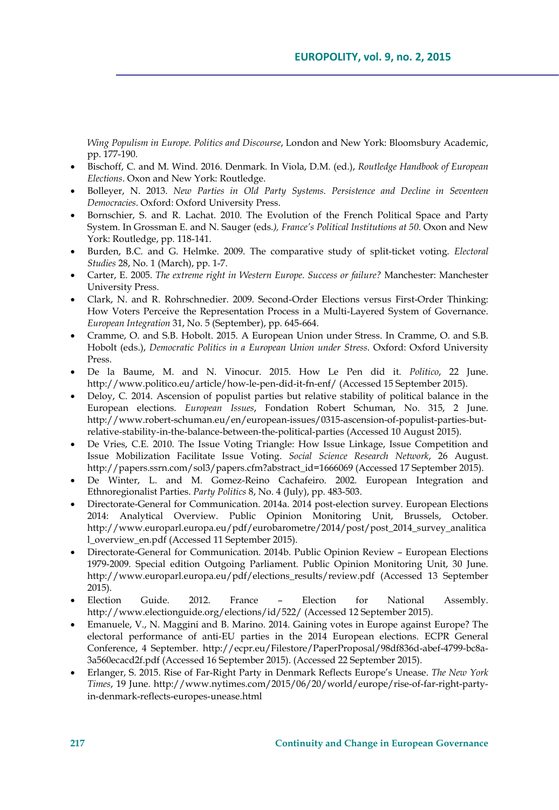*Wing Populism in Europe. Politics and Discourse*, London and New York: Bloomsbury Academic, pp. 177-190.

- Bischoff, C. and M. Wind. 2016. Denmark. In Viola, D.M. (ed.), *Routledge Handbook of European Elections*. Oxon and New York: Routledge.
- Bolleyer, N. 2013. *New Parties in Old Party Systems. Persistence and Decline in Seventeen Democracies*. Oxford: Oxford University Press.
- Bornschier, S. and R. Lachat. 2010. The Evolution of the French Political Space and Party System. In Grossman E. and N. Sauger (eds*.), France's Political Institutions at 50*. Oxon and New York: Routledge, pp. 118-141.
- Burden, B.C. and G. Helmke. 2009. The comparative study of split-ticket voting. *Electoral Studies* 28, No. 1 (March), pp. 1-7.
- Carter, E. 2005. *The extreme right in Western Europe. Success or failure?* Manchester: Manchester University Press.
- Clark, N. and R. Rohrschnedier. 2009. Second-Order Elections versus First-Order Thinking: How Voters Perceive the Representation Process in a Multi-Layered System of Governance. *European Integration* 31, No. 5 (September), pp. 645-664.
- Cramme, O. and S.B. Hobolt. 2015. A European Union under Stress. In Cramme, O. and S.B. Hobolt (eds.), *Democratic Politics in a European Union under Stress*. Oxford: Oxford University Press.
- De la Baume, M. and N. Vinocur. 2015. How Le Pen did it. *Politico*, 22 June. http://www.politico.eu/article/how-le-pen-did-it-fn-enf/ (Accessed 15 September 2015).
- Deloy, C. 2014. Ascension of populist parties but relative stability of political balance in the European elections. *European Issues*, Fondation Robert Schuman, No. 315, 2 June. http://www.robert-schuman.eu/en/european-issues/0315-ascension-of-populist-parties-butrelative-stability-in-the-balance-between-the-political-parties (Accessed 10 August 2015).
- De Vries, C.E. 2010. The Issue Voting Triangle: How Issue Linkage, Issue Competition and Issue Mobilization Facilitate Issue Voting. *Social Science Research Network*, 26 August. http://papers.ssrn.com/sol3/papers.cfm?abstract\_id=1666069 (Accessed 17 September 2015).
- De Winter, L. and M. Gomez-Reino Cachafeiro. 2002. European Integration and Ethnoregionalist Parties. *Party Politics* 8, No. 4 (July), pp. 483-503.
- Directorate-General for Communication. 2014a. 2014 post-election survey. European Elections 2014: Analytical Overview. Public Opinion Monitoring Unit, Brussels, October. http://www.europarl.europa.eu/pdf/eurobarometre/2014/post/post\_2014\_survey\_analitica l\_overview\_en.pdf (Accessed 11 September 2015).
- Directorate-General for Communication. 2014b. Public Opinion Review European Elections 1979-2009. Special edition Outgoing Parliament. Public Opinion Monitoring Unit, 30 June. http://www.europarl.europa.eu/pdf/elections\_results/review.pdf (Accessed 13 September 2015).
- Election Guide. 2012. France Election for National Assembly. http://www.electionguide.org/elections/id/522/ (Accessed 12 September 2015).
- Emanuele, V., N. Maggini and B. Marino. 2014. Gaining votes in Europe against Europe? The electoral performance of anti-EU parties in the 2014 European elections. ECPR General Conference, 4 September. http://ecpr.eu/Filestore/PaperProposal/98df836d-abef-4799-bc8a-3a560ecacd2f.pdf (Accessed 16 September 2015). (Accessed 22 September 2015).
- Erlanger, S. 2015. Rise of Far-Right Party in Denmark Reflects Europe's Unease. *The New York Times*, 19 June. http://www.nytimes.com/2015/06/20/world/europe/rise-of-far-right-partyin-denmark-reflects-europes-unease.html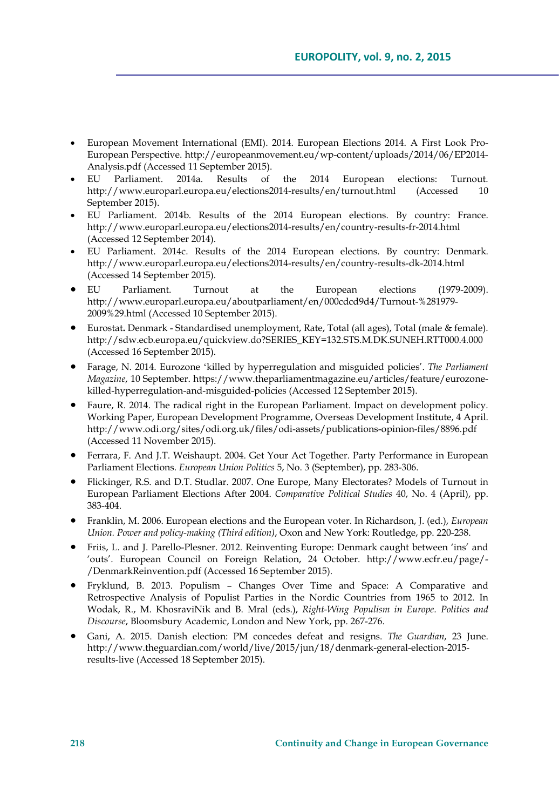- European Movement International (EMI). 2014. European Elections 2014. A First Look Pro-European Perspective. http://europeanmovement.eu/wp-content/uploads/2014/06/EP2014- Analysis.pdf (Accessed 11 September 2015).
- EU Parliament. 2014a. Results of the 2014 European elections: Turnout. http://www.europarl.europa.eu/elections2014-results/en/turnout.html (Accessed 10 September 2015).
- EU Parliament. 2014b. Results of the 2014 European elections. By country: France. http://www.europarl.europa.eu/elections2014-results/en/country-results-fr-2014.html (Accessed 12 September 2014).
- EU Parliament. 2014c. Results of the 2014 European elections. By country: Denmark. http://www.europarl.europa.eu/elections2014-results/en/country-results-dk-2014.html (Accessed 14 September 2015).
- EU Parliament. Turnout at the European elections (1979-2009). http://www.europarl.europa.eu/aboutparliament/en/000cdcd9d4/Turnout-%281979- 2009%29.html (Accessed 10 September 2015).
- Eurostat**.** Denmark Standardised unemployment, Rate, Total (all ages), Total (male & female). http://sdw.ecb.europa.eu/quickview.do?SERIES\_KEY=132.STS.M.DK.SUNEH.RTT000.4.000 (Accessed 16 September 2015).
- Farage, N. 2014. Eurozone ʻkilled by hyperregulation and misguided policies'. *The Parliament Magazine*, 10 September. https://www.theparliamentmagazine.eu/articles/feature/eurozonekilled-hyperregulation-and-misguided-policies (Accessed 12 September 2015).
- Faure, R. 2014. The radical right in the European Parliament. Impact on development policy. Working Paper, European Development Programme, Overseas Development Institute, 4 April. http://www.odi.org/sites/odi.org.uk/files/odi-assets/publications-opinion-files/8896.pdf (Accessed 11 November 2015).
- Ferrara, F. And J.T. Weishaupt. 2004. Get Your Act Together. Party Performance in European Parliament Elections. *European Union Politics* 5, No. 3 (September), pp. 283-306.
- Flickinger, R.S. and D.T. Studlar. 2007. One Europe, Many Electorates? Models of Turnout in European Parliament Elections After 2004. *Comparative Political Studies* 40, No. 4 (April), pp. 383-404.
- Franklin, M. 2006. European elections and the European voter. In Richardson, J. (ed.), *European Union. Power and policy-making (Third edition)*, Oxon and New York: Routledge, pp. 220-238.
- Friis, L. and J. Parello-Plesner. 2012. Reinventing Europe: Denmark caught between 'ins' and 'outs'. European Council on Foreign Relation, 24 October. http://www.ecfr.eu/page/- /DenmarkReinvention.pdf (Accessed 16 September 2015).
- Fryklund, B. 2013. Populism Changes Over Time and Space: A Comparative and Retrospective Analysis of Populist Parties in the Nordic Countries from 1965 to 2012. In Wodak, R., M. KhosraviNik and B. Mral (eds.), *Right-Wing Populism in Europe. Politics and Discourse*, Bloomsbury Academic, London and New York, pp. 267-276.
- Gani, A. 2015. Danish election: PM concedes defeat and resigns. *The Guardian*, 23 June. http://www.theguardian.com/world/live/2015/jun/18/denmark-general-election-2015 results-live (Accessed 18 September 2015).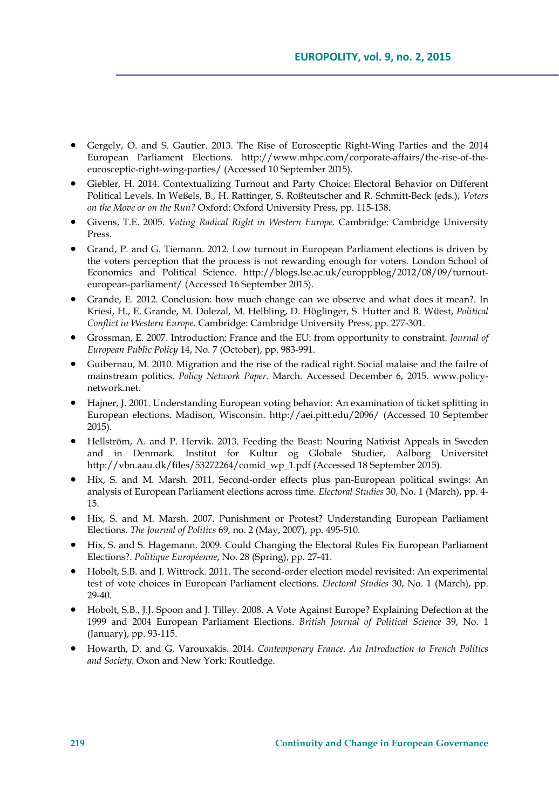- Gergely, O. and S. Gautier. 2013. The Rise of Eurosceptic Right-Wing Parties and the 2014 European Parliament Elections. http://www.mhpc.com/corporate-affairs/the-rise-of-theeurosceptic-right-wing-parties/ (Accessed 10 September 2015).
- Giebler, H. 2014. Contextualizing Turnout and Party Choice: Electoral Behavior on Different Political Levels. In Weßels, B., H. Rattinger, S. Roßteutscher and R. Schmitt-Beck (eds.), *Voters on the Move or on the Run?* Oxford: Oxford University Press, pp. 115-138.
- Givens, T.E. 2005. *Voting Radical Right in Western Europe*. Cambridge: Cambridge University Press.
- Grand, P. and G. Tiemann. 2012. Low turnout in European Parliament elections is driven by the voters perception that the process is not rewarding enough for voters. London School of Economics and Political Science. http://blogs.lse.ac.uk/europpblog/2012/08/09/turnouteuropean-parliament/ (Accessed 16 September 2015).
- Grande, E. 2012. Conclusion: how much change can we observe and what does it mean?. In Kriesi, H., E. Grande, M. Dolezal, M. Helbling, D. Höglinger, S. Hutter and B. Wüest, *Political Conflict in Western Europe*. Cambridge: Cambridge University Press, pp. 277-301.
- Grossman, E. 2007. Introduction: France and the EU: from opportunity to constraint. *Journal of European Public Policy* 14, No. 7 (October), pp. 983-991.
- Guibernau, M. 2010. Migration and the rise of the radical right. Social malaise and the failre of mainstream politics. *Policy Network Paper*. March. Accessed December 6, 2015. www.policynetwork.net.
- Hajner, J. 2001. Understanding European voting behavior: An examination of ticket splitting in European elections. Madison, Wisconsin. http://aei.pitt.edu/2096/ (Accessed 10 September 2015).
- Hellström, A. and P. Hervik. 2013. Feeding the Beast: Nouring Nativist Appeals in Sweden and in Denmark. Institut for Kultur og Globale Studier, Aalborg Universitet http://vbn.aau.dk/files/53272264/comid\_wp\_1.pdf (Accessed 18 September 2015).
- Hix, S. and M. Marsh. 2011. Second-order effects plus pan-European political swings: An analysis of European Parliament elections across time. *Electoral Studies* 30, No. 1 (March), pp. 4- 15.
- Hix, S. and M. Marsh. 2007. Punishment or Protest? Understanding European Parliament Elections. *The Journal of Politics* 69, no. 2 (May, 2007), pp. 495-510.
- Hix, S. and S. Hagemann. 2009. Could Changing the Electoral Rules Fix European Parliament Elections?. *Politique Européenne*, No. 28 (Spring), pp. 27-41.
- Hobolt, S.B. and J. Wittrock. 2011. The second-order election model revisited: An experimental test of vote choices in European Parliament elections. *Electoral Studies* 30, No. 1 (March), pp. 29-40.
- Hobolt, S.B., J.J. Spoon and J. Tilley. 2008. A Vote Against Europe? Explaining Defection at the 1999 and 2004 European Parliament Elections. *British Journal of Political Science* 39, No. 1 (January), pp. 93-115.
- Howarth, D. and G. Varouxakis. 2014. *Contemporary France. An Introduction to French Politics and Society*. Oxon and New York: Routledge.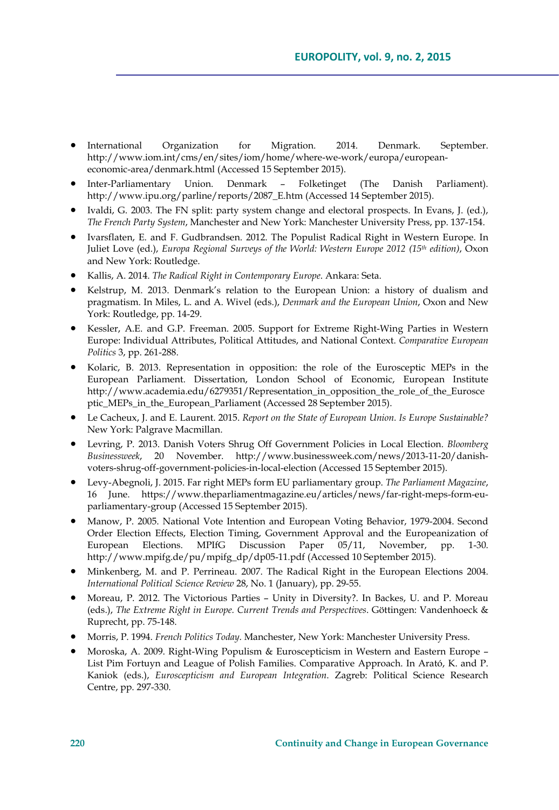- International Organization for Migration. 2014. Denmark. September. http://www.iom.int/cms/en/sites/iom/home/where-we-work/europa/europeaneconomic-area/denmark.html (Accessed 15 September 2015).
- Inter-Parliamentary Union. Denmark Folketinget (The Danish Parliament). http://www.ipu.org/parline/reports/2087\_E.htm (Accessed 14 September 2015).
- Ivaldi, G. 2003. The FN split: party system change and electoral prospects. In Evans, J. (ed.), *The French Party System*, Manchester and New York: Manchester University Press, pp. 137-154.
- Ivarsflaten, E. and F. Gudbrandsen. 2012. The Populist Radical Right in Western Europe. In Juliet Love (ed.), *Europa Regional Surveys of the World: Western Europe 2012 (15<sup>th</sup> edition)*, Oxon and New York: Routledge.
- Kallis, A. 2014. *The Radical Right in Contemporary Europe*. Ankara: Seta.
- Kelstrup, M. 2013. Denmark's relation to the European Union: a history of dualism and pragmatism. In Miles, L. and A. Wivel (eds.), *Denmark and the European Union*, Oxon and New York: Routledge, pp. 14-29.
- Kessler, A.E. and G.P. Freeman. 2005. Support for Extreme Right-Wing Parties in Western Europe: Individual Attributes, Political Attitudes, and National Context. *Comparative European Politics* 3, pp. 261-288.
- Kolaric, B. 2013. Representation in opposition: the role of the Eurosceptic MEPs in the European Parliament. Dissertation, London School of Economic, European Institute http://www.academia.edu/6279351/Representation\_in\_opposition\_the\_role\_of\_the\_Eurosce ptic\_MEPs\_in\_the\_European\_Parliament (Accessed 28 September 2015).
- Le Cacheux, J. and E. Laurent. 2015. *Report on the State of European Union. Is Europe Sustainable?* New York: Palgrave Macmillan.
- Levring, P. 2013. Danish Voters Shrug Off Government Policies in Local Election. *Bloomberg Businessweek*, 20 November. http://www.businessweek.com/news/2013-11-20/danishvoters-shrug-off-government-policies-in-local-election (Accessed 15 September 2015).
- Levy-Abegnoli, J. 2015. Far right MEPs form EU parliamentary group. *The Parliament Magazine*, 16 June. https://www.theparliamentmagazine.eu/articles/news/far-right-meps-form-euparliamentary-group (Accessed 15 September 2015).
- Manow, P. 2005. National Vote Intention and European Voting Behavior, 1979-2004. Second Order Election Effects, Election Timing, Government Approval and the Europeanization of European Elections. MPIfG Discussion Paper 05/11, November, pp. 1-30. http://www.mpifg.de/pu/mpifg\_dp/dp05-11.pdf (Accessed 10 September 2015).
- Minkenberg, M. and P. Perrineau. 2007. The Radical Right in the European Elections 2004. *International Political Science Review* 28, No. 1 (January), pp. 29-55.
- Moreau, P. 2012. The Victorious Parties Unity in Diversity?. In Backes, U. and P. Moreau (eds.), *The Extreme Right in Europe. Current Trends and Perspectives*. Göttingen: Vandenhoeck & Ruprecht, pp. 75-148.
- Morris, P. 1994. *French Politics Today*. Manchester, New York: Manchester University Press.
- Moroska, A. 2009. Right-Wing Populism & Euroscepticism in Western and Eastern Europe List Pim Fortuyn and League of Polish Families. Comparative Approach. In Arató, K. and P. Kaniok (eds.), *Euroscepticism and European Integration*. Zagreb: Political Science Research Centre, pp. 297-330.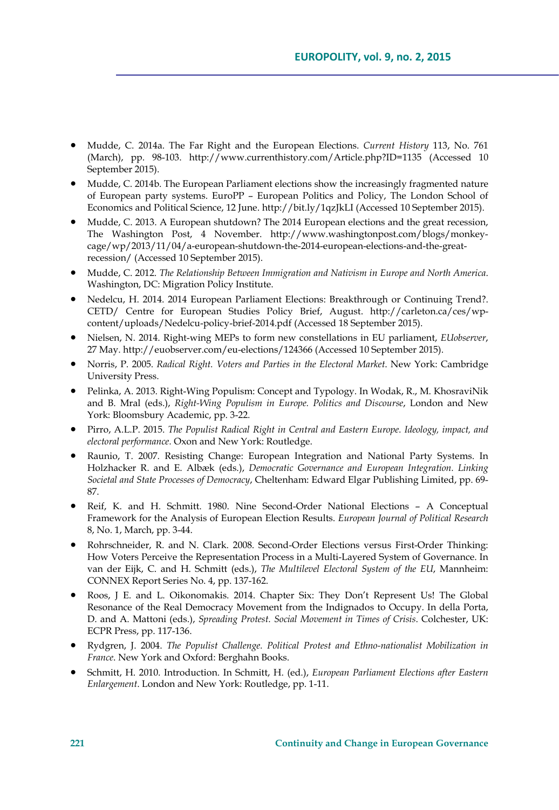- Mudde, C. 2014a. The Far Right and the European Elections. *Current History* 113, No. 761 (March), pp. 98-103. http://www.currenthistory.com/Article.php?ID=1135 (Accessed 10 September 2015).
- Mudde, C. 2014b. The European Parliament elections show the increasingly fragmented nature of European party systems. EuroPP – European Politics and Policy, The London School of Economics and Political Science, 12 June. http://bit.ly/1qzJkLI (Accessed 10 September 2015).
- Mudde, C. 2013. A European shutdown? The 2014 European elections and the great recession, The Washington Post, 4 November. http://www.washingtonpost.com/blogs/monkeycage/wp/2013/11/04/a-european-shutdown-the-2014-european-elections-and-the-greatrecession/ (Accessed 10 September 2015).
- Mudde, C. 2012. *The Relationship Between Immigration and Nativism in Europe and North America*. Washington, DC: Migration Policy Institute.
- Nedelcu, H. 2014. 2014 European Parliament Elections: Breakthrough or Continuing Trend?. CETD/ Centre for European Studies Policy Brief, August. http://carleton.ca/ces/wpcontent/uploads/Nedelcu-policy-brief-2014.pdf (Accessed 18 September 2015).
- Nielsen, N. 2014. Right-wing MEPs to form new constellations in EU parliament, *EUobserver*, 27 May. http://euobserver.com/eu-elections/124366 (Accessed 10 September 2015).
- Norris, P. 2005. *Radical Right. Voters and Parties in the Electoral Market*. New York: Cambridge University Press.
- Pelinka, A. 2013. Right-Wing Populism: Concept and Typology. In Wodak, R., M. KhosraviNik and B. Mral (eds.), *Right-Wing Populism in Europe. Politics and Discourse*, London and New York: Bloomsbury Academic, pp. 3-22.
- Pirro, A.L.P. 2015. *The Populist Radical Right in Central and Eastern Europe. Ideology, impact, and electoral performance.* Oxon and New York: Routledge.
- Raunio, T. 2007. Resisting Change: European Integration and National Party Systems. In Holzhacker R. and E. Albæk (eds.), *Democratic Governance and European Integration. Linking Societal and State Processes of Democracy*, Cheltenham: Edward Elgar Publishing Limited, pp. 69- 87.
- Reif, K. and H. Schmitt. 1980. Nine Second-Order National Elections A Conceptual Framework for the Analysis of European Election Results. *European Journal of Political Research* 8, No. 1, March, pp. 3-44.
- Rohrschneider, R. and N. Clark. 2008. Second-Order Elections versus First-Order Thinking: How Voters Perceive the Representation Process in a Multi-Layered System of Governance. In van der Eijk, C. and H. Schmitt (eds.), *The Multilevel Electoral System of the EU*, Mannheim: CONNEX Report Series No. 4, pp. 137-162.
- Roos, J E. and L. Oikonomakis. 2014. Chapter Six: They Don't Represent Us! The Global Resonance of the Real Democracy Movement from the Indignados to Occupy. In della Porta, D. and A. Mattoni (eds.), *Spreading Protest. Social Movement in Times of Crisis*. Colchester, UK: ECPR Press, pp. 117-136.
- Rydgren, J. 2004. *The Populist Challenge. Political Protest and Ethno-nationalist Mobilization in France*. New York and Oxford: Berghahn Books.
- Schmitt, H. 2010. Introduction. In Schmitt, H. (ed.), *European Parliament Elections after Eastern Enlargement*. London and New York: Routledge, pp. 1-11.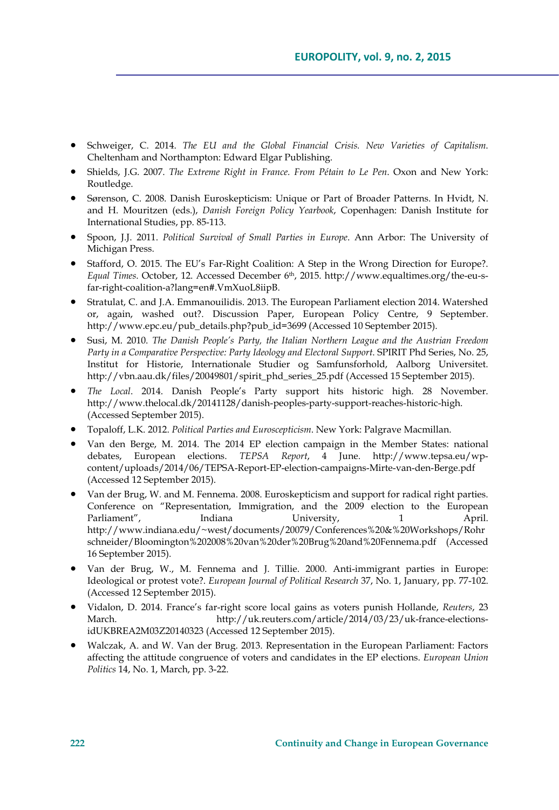- Schweiger, C. 2014. *The EU and the Global Financial Crisis. New Varieties of Capitalism*. Cheltenham and Northampton: Edward Elgar Publishing.
- Shields, J.G. 2007. *The Extreme Right in France. From Pétain to Le Pen*. Oxon and New York: Routledge.
- Sørenson, C. 2008. Danish Euroskepticism: Unique or Part of Broader Patterns. In Hvidt, N. and H. Mouritzen (eds.), *Danish Foreign Policy Yearbook*, Copenhagen: Danish Institute for International Studies, pp. 85-113.
- Spoon, J.J. 2011. *Political Survival of Small Parties in Europe*. Ann Arbor: The University of Michigan Press.
- Stafford, O. 2015. The EU's Far-Right Coalition: A Step in the Wrong Direction for Europe?. *Equal Times*. October, 12. Accessed December 6th, 2015. http://www.equaltimes.org/the-eu-sfar-right-coalition-a?lang=en#.VmXuoL8iipB.
- Stratulat, C. and J.A. Emmanouilidis. 2013. The European Parliament election 2014. Watershed or, again, washed out?. Discussion Paper, European Policy Centre, 9 September. http://www.epc.eu/pub\_details.php?pub\_id=3699 (Accessed 10 September 2015).
- Susi, M. 2010. *The Danish People's Party, the Italian Northern League and the Austrian Freedom Party in a Comparative Perspective: Party Ideology and Electoral Support*. SPIRIT Phd Series, No. 25, Institut for Historie, Internationale Studier og Samfunsforhold, Aalborg Universitet. http://vbn.aau.dk/files/20049801/spirit\_phd\_series\_25.pdf (Accessed 15 September 2015).
- *The Local*. 2014. Danish People's Party support hits historic high. 28 November. http://www.thelocal.dk/20141128/danish-peoples-party-support-reaches-historic-high. (Accessed September 2015).
- Topaloff, L.K. 2012. *Political Parties and Euroscepticism*. New York: Palgrave Macmillan.
- Van den Berge, M. 2014. The 2014 EP election campaign in the Member States: national debates, European elections. *TEPSA Report*, 4 June. http://www.tepsa.eu/wpcontent/uploads/2014/06/TEPSA-Report-EP-election-campaigns-Mirte-van-den-Berge.pdf (Accessed 12 September 2015).
- Van der Brug, W. and M. Fennema. 2008. Euroskepticism and support for radical right parties. Conference on "Representation, Immigration, and the 2009 election to the European Parliament", Indiana University, 1 April. http://www.indiana.edu/~west/documents/20079/Conferences%20&%20Workshops/Rohr schneider/Bloomington%202008%20van%20der%20Brug%20and%20Fennema.pdf (Accessed 16 September 2015).
- Van der Brug, W., M. Fennema and J. Tillie. 2000. Anti-immigrant parties in Europe: Ideological or protest vote?. *European Journal of Political Research* 37, No. 1, January, pp. 77-102. (Accessed 12 September 2015).
- Vidalon, D. 2014. France's far-right score local gains as voters punish Hollande, *Reuters*, 23 March. http://uk.reuters.com/article/2014/03/23/uk-france-electionsidUKBREA2M03Z20140323 (Accessed 12 September 2015).
- Walczak, A. and W. Van der Brug. 2013. Representation in the European Parliament: Factors affecting the attitude congruence of voters and candidates in the EP elections. *European Union Politics* 14, No. 1, March, pp. 3-22.